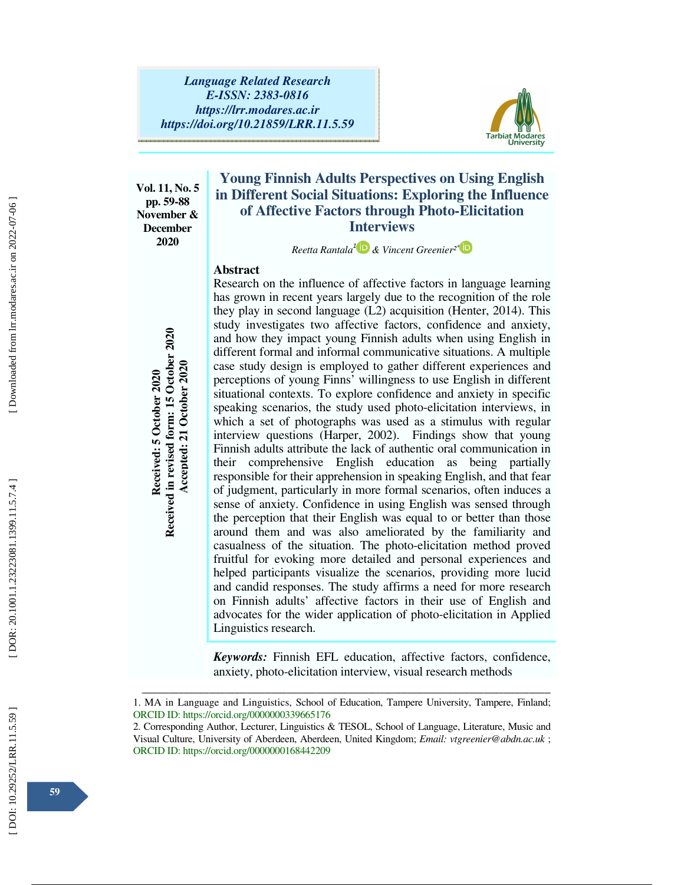

**Vol. 11, No. 5 pp. 59-88 November & December 2020** 

# **Young Finnish Adults Perspectives on Using English in Different Social Situations: Exploring the Influence of Affective Factors through Photo-Elicitation Interviews**

*Reetta Rantala* 1  *& Vincent Greenier²* ∗

## **Abstract**

Research on the influence of affective factors in language learning has grown in recent years largely due to the recognition of the role they play in second language (L2) acquisition (Henter, 2014). This study investigates two affective factors, confidence and anxiety, and how they impact young Finnish adults when using English in different formal and informal communicative situations. A multiple case study design is employed to gather different experiences and perceptions of young Finns' willingness to use English in different situational contexts. To explore confidence and anxiety in specific speaking scenarios, the study used photo-elicitation interviews, in which a set of photographs was used as a stimulus with regular interview questions (Harper, 2002). Findings show that young Finnish adults attribute the lack of authentic oral communication in their comprehensive English education as being partially responsible for their apprehension in speaking English, and that fear of judgment, particularly in more formal scenarios, often induces a sense of anxiety. Confidence in using English was sensed through the perception that their English was equal to or better than those around them and was also ameliorated by the familiarity and casualness of the situation. The photo-elicitation method proved fruitful for evoking more detailed and personal experiences and helped participants visualize the scenarios, providing more lucid and candid responses. The study affirms a need for more research on Finnish adults' affective factors in their use of English and advocates for the wider application of photo-elicitation in Applied Linguistics research. **Required the mail and informal and informal conductive situations. A multiple that the depending one study design is employed to gather different experiences and priceptions of young Finns' willingness to use English in d** 

*Keywords:* Finnish EFL education, affective factors, confidence, anxiety, photo-elicitation interview, visual research methods

ــــــــــــــــــــــــــــــــــــــــــــــــــــــــــــــــــــــــــــــــــــــــــــــــــــــــــــــــــــــــــــــــــــــــــــــــــــــــــــــــــــــــــــــــــــــــــــــــــــــــــــــــــــــــــــــــــــــــــــــــــــــــــــــــــــــــــــ 1. MA in Language and Linguistics, School of Education, Tampere University, Tampere, Finland; ORCID ID: https://orcid.org/0000000339665176

<sup>2.</sup> Corresponding Author, Lecturer, Linguistics & TESOL, School of Language, Literature, Music and Visual Culture, University of Aberdeen, Aberdeen, United Kingdom; *Email: vtgreenier@abdn.ac.uk* ; ORCID ID: https://orcid.org/0000000168442209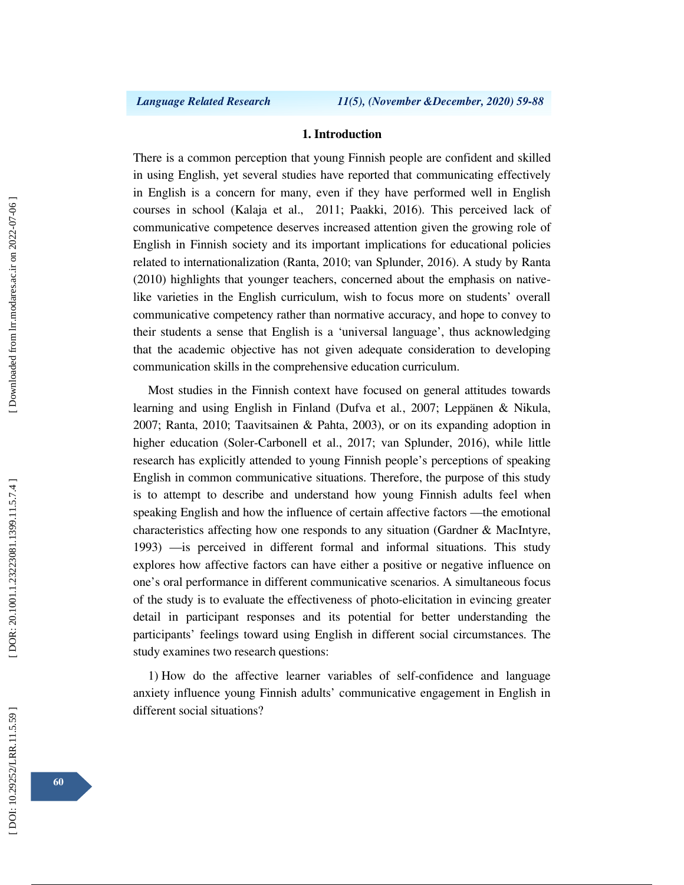#### **1. Introduction**

There is a common perception that young Finnish people are confident and skilled in using English, yet several studies have reported that communicating effectively in English is a concern for many, even if they have performed well in English courses in school (Kalaja et al., 2011; Paakki, 2016). This perceived lack of communicative competence deserves increased attention given the growing role of English in Finnish society and its important implications for educational policies related to internationalization (Ranta, 2010; van Splunder, 2016). A study by Ranta (2010) highlights that younger teachers, concerned about the emphasis on nativelike varieties in the English curriculum, wish to focus more on students' overall communicative competency rather than normative accuracy, and hope to convey to their students a sense that English is a 'universal language', thus acknowledging that the academic objective has not given adequate consideration to developing communication skills in the comprehensive education curriculum.

Most studies in the Finnish context have focused on general attitudes towards learning and using English in Finland (Dufva et al *.*, 2007; Leppänen & Nikula, 2007; Ranta, 2010; Taavitsainen & Pahta, 2003), or on its expanding adoption in higher education (Soler-Carbonell et al., 2017; van Splunder, 2016), while little research has explicitly attended to young Finnish people's perceptions of speaking English in common communicative situations. Therefore, the purpose of this study is to attempt to describe and understand how young Finnish adults feel when speaking English and how the influence of certain affective factors —the emotional characteristics affecting how one responds to any situation (Gardner & MacIntyre, 1993) —is perceived in different formal and informal situations. This study explores how affective factors can have either a positive or negative influence on one's oral performance in different communicative scenarios. A simultaneous focus of the study is to evaluate the effectiveness of photo-elicitation in evincing greater detail in participant responses and its potential for better understanding the participants' feelings toward using English in different social circumstances. The study examines two research questions:

1) How do the affective learner variables of self-confidence and language anxiety influence young Finnish adults' communicative engagement in English in different social situations?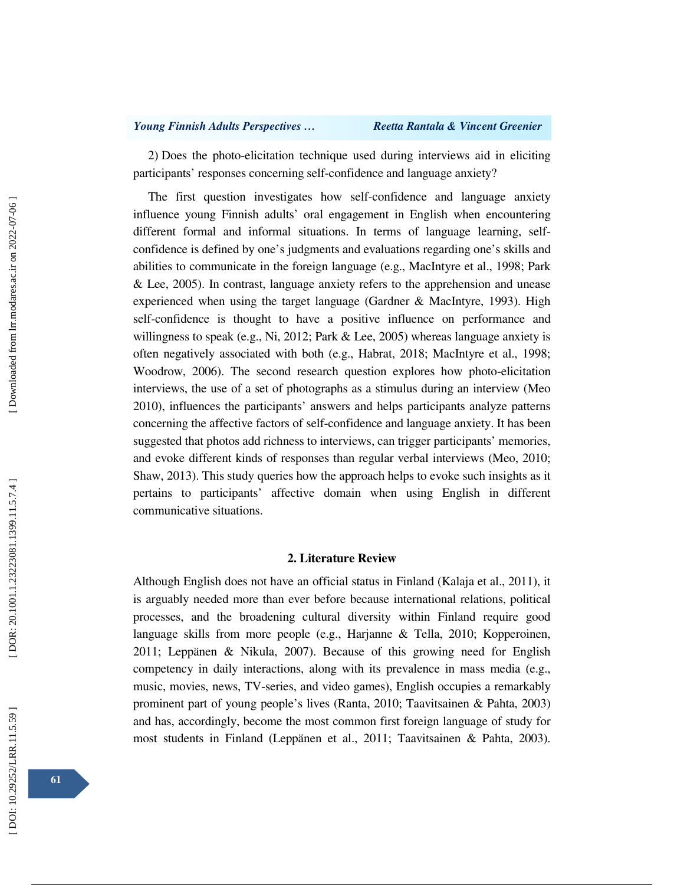2) Does the photo-elicitation technique used during interviews aid in eliciting participants' responses concerning self-confidence and language anxiety?

The first question investigates how self-confidence and language anxiety influence young Finnish adults' oral engagement in English when encountering different formal and informal situations. In terms of language learning, selfconfidence is defined by one's judgments and evaluations regarding one's skills and abilities to communicate in the foreign language (e.g., MacIntyre et al., 1998; Park & Lee, 2005). In contrast, language anxiety refers to the apprehension and unease experienced when using the target language (Gardner & MacIntyre, 1993). High self-confidence is thought to have a positive influence on performance and willingness to speak (e.g., Ni, 2012; Park & Lee, 2005) whereas language anxiety is often negatively associated with both (e.g., Habrat, 2018; MacIntyre et al., 1998; Woodrow, 2006). The second research question explores how photo-elicitation interviews, the use of a set of photographs as a stimulus during an interview (Meo 2010), influences the participants' answers and helps participants analyze patterns concerning the affective factors of self-confidence and language anxiety. It has been suggested that photos add richness to interviews, can trigger participants' memories, and evoke different kinds of responses than regular verbal interviews (Meo, 2010; Shaw, 2013). This study queries how the approach helps to evoke such insights as it pertains to participants' affective domain when using English in different communicative situations.

### **2. Literature Review**

Although English does not have an official status in Finland (Kalaja et al., 2011), it is arguably needed more than ever before because international relations, political processes, and the broadening cultural diversity within Finland require good language skills from more people (e.g., Harjanne & Tella, 2010; Kopperoinen, 2011; Leppänen & Nikula, 2007). Because of this growing need for English competency in daily interactions, along with its prevalence in mass media (e.g., music, movies, news, TV-series, and video games), English occupies a remarkably prominent part of young people's lives (Ranta, 2010; Taavitsainen & Pahta, 2003) and has, accordingly, become the most common first foreign language of study for most students in Finland (Leppänen et al., 2011; Taavitsainen & Pahta, 2003).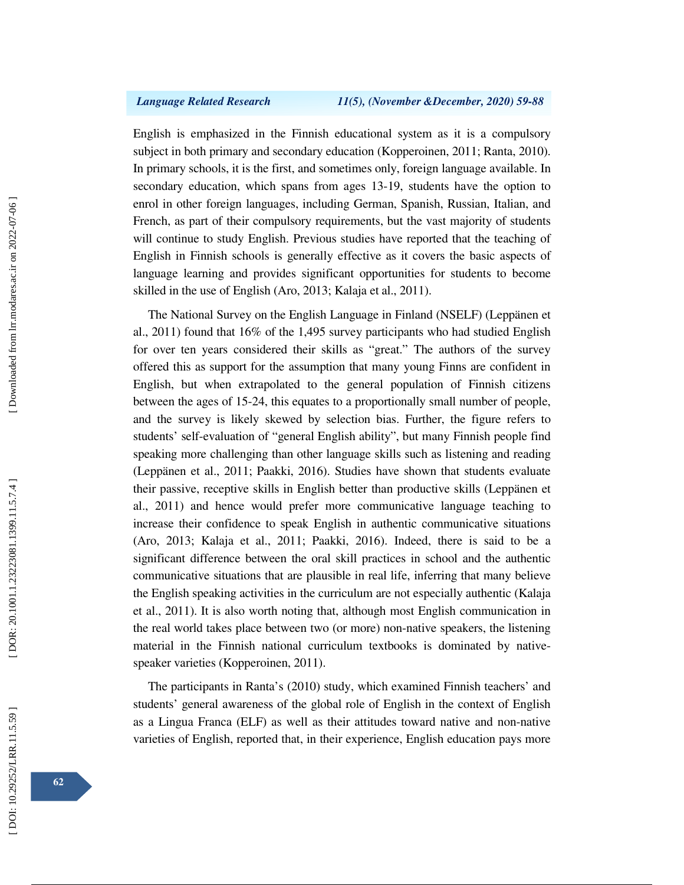English is emphasized in the Finnish educational system as it is a compulsory subject in both primary and secondary education (Kopperoinen, 2011; Ranta, 2010). In primary schools, it is the first, and sometimes only, foreign language available. In secondary education, which spans from ages 13-19, students have the option to enrol in other foreign languages, including German, Spanish, Russian, Italian, and French, as part of their compulsory requirements, but the vast majority of students will continue to study English. Previous studies have reported that the teaching of English in Finnish schools is generally effective as it covers the basic aspects of language learning and provides significant opportunities for students to become skilled in the use of English (Aro, 2013; Kalaja et al., 2011).

The National Survey on the English Language in Finland (NSELF) (Leppänen et al., 2011) found that 16% of the 1,495 survey participants who had studied English for over ten years considered their skills as "great." The authors of the survey offered this as support for the assumption that many young Finns are confident in English, but when extrapolated to the general population of Finnish citizens between the ages of 15-24, this equates to a proportionally small number of people, and the survey is likely skewed by selection bias. Further, the figure refers to students' self-evaluation of "general English ability", but many Finnish people find speaking more challenging than other language skills such as listening and reading (Leppänen et al., 2011; Paakki, 2016). Studies have shown that students evaluate their passive, receptive skills in English better than productive skills (Leppänen et al., 2011) and hence would prefer more communicative language teaching to increase their confidence to speak English in authentic communicative situations (Aro, 2013; Kalaja et al., 2011; Paakki, 2016). Indeed, there is said to be a significant difference between the oral skill practices in school and the authentic communicative situations that are plausible in real life, inferring that many believe the English speaking activities in the curriculum are not especially authentic (Kalaja et al., 2011). It is also worth noting that, although most English communication in the real world takes place between two (or more) non-native speakers, the listening material in the Finnish national curriculum textbooks is dominated by nativespeaker varieties (Kopperoinen, 2011).

The participants in Ranta's (2010) study, which examined Finnish teachers' and students' general awareness of the global role of English in the context of English as a Lingua Franca (ELF) as well as their attitudes toward native and non-native varieties of English, reported that, in their experience, English education pays more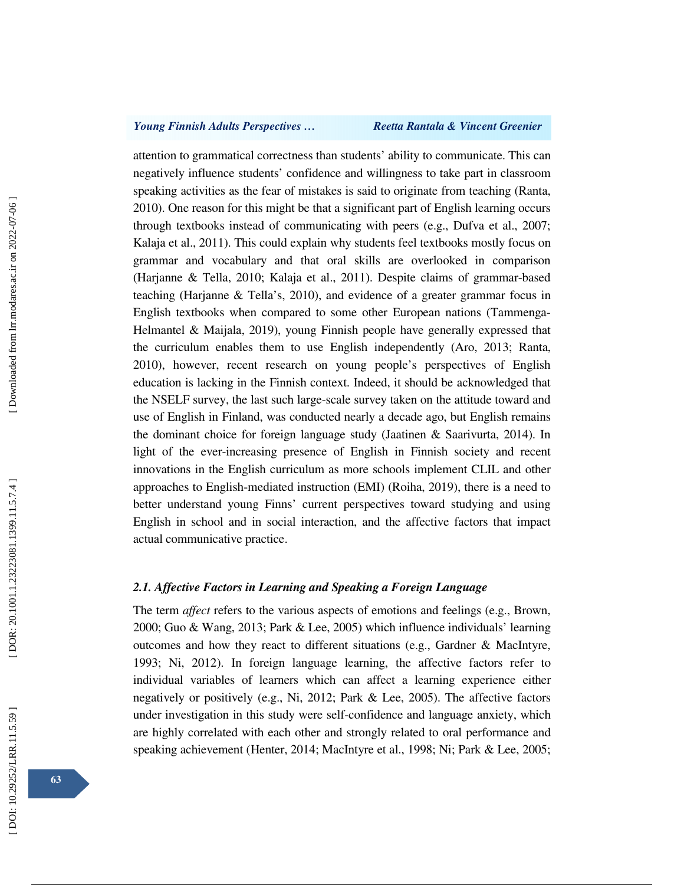attention to grammatical correctness than students' ability to communicate. This can negatively influence students' confidence and willingness to take part in classroom speaking activities as the fear of mistakes is said to originate from teaching (Ranta, 2010). One reason for this might be that a significant part of English learning occurs through textbooks instead of communicating with peers (e.g., Dufva et al., 2007; Kalaja et al., 2011). This could explain why students feel textbooks mostly focus on grammar and vocabulary and that oral skills are overlooked in comparison (Harjanne & Tella, 2010; Kalaja et al., 2011). Despite claims of grammar-based teaching (Harjanne & Tella's, 2010), and evidence of a greater grammar focus in English textbooks when compared to some other European nations (Tammenga-Helmantel & Maijala, 2019), young Finnish people have generally expressed that the curriculum enables them to use English independently (Aro, 2013; Ranta, 2010), however, recent research on young people's perspectives of English education is lacking in the Finnish context. Indeed, it should be acknowledged that the NSELF survey, the last such large-scale survey taken on the attitude toward and use of English in Finland, was conducted nearly a decade ago, but English remains the dominant choice for foreign language study (Jaatinen & Saarivurta, 2014). In light of the ever-increasing presence of English in Finnish society and recent innovations in the English curriculum as more schools implement CLIL and other approaches to English-mediated instruction (EMI) (Roiha, 2019), there is a need to better understand young Finns' current perspectives toward studying and using English in school and in social interaction, and the affective factors that impact actual communicative practice.

## *2.1. Affective Factors in Learning and Speaking a Foreign Language*

The term *affect* refers to the various aspects of emotions and feelings (e.g., Brown, 2000; Guo & Wang, 2013; Park & Lee, 2005) which influence individuals' learning outcomes and how they react to different situations (e.g., Gardner & MacIntyre, 1993; Ni, 2012). In foreign language learning, the affective factors refer to individual variables of learners which can affect a learning experience either negatively or positively (e.g., Ni, 2012; Park & Lee, 2005). The affective factors under investigation in this study were self-confidence and language anxiety, which are highly correlated with each other and strongly related to oral performance and speaking achievement (Henter, 2014; MacIntyre et al., 1998; Ni; Park & Lee, 2005;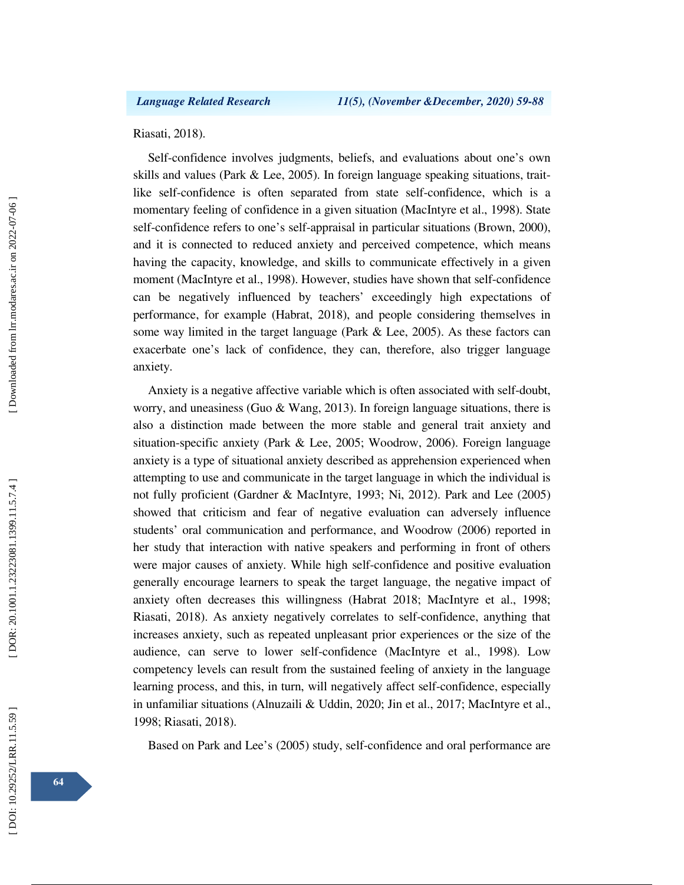Riasati, 2018).

Self-confidence involves judgments, beliefs, and evaluations about one's own skills and values (Park & Lee, 2005). In foreign language speaking situations, traitlike self-confidence is often separated from state self-confidence, which is a momentary feeling of confidence in a given situation (MacIntyre et al., 1998). State self-confidence refers to one's self-appraisal in particular situations (Brown, 2000), and it is connected to reduced anxiety and perceived competence, which means having the capacity, knowledge, and skills to communicate effectively in a given moment (MacIntyre et al., 1998). However, studies have shown that self-confidence can be negatively influenced by teachers' exceedingly high expectations of performance, for example (Habrat, 2018), and people considering themselves in some way limited in the target language (Park & Lee, 2005). As these factors can exacerbate one's lack of confidence, they can, therefore, also trigger language anxiety.

Anxiety is a negative affective variable which is often associated with self-doubt, worry, and uneasiness (Guo & Wang, 2013). In foreign language situations, there is also a distinction made between the more stable and general trait anxiety and situation-specific anxiety (Park & Lee, 2005; Woodrow, 2006). Foreign language anxiety is a type of situational anxiety described as apprehension experienced when attempting to use and communicate in the target language in which the individual is not fully proficient (Gardner & MacIntyre, 1993; Ni, 2012). Park and Lee (2005) showed that criticism and fear of negative evaluation can adversely influence students' oral communication and performance, and Woodrow (2006) reported in her study that interaction with native speakers and performing in front of others were major causes of anxiety. While high self-confidence and positive evaluation generally encourage learners to speak the target language, the negative impact of anxiety often decreases this willingness (Habrat 2018; MacIntyre et al., 1998; Riasati, 2018). As anxiety negatively correlates to self-confidence, anything that increases anxiety, such as repeated unpleasant prior experiences or the size of the audience, can serve to lower self-confidence (MacIntyre et al., 1998). Low competency levels can result from the sustained feeling of anxiety in the language learning process, and this, in turn, will negatively affect self-confidence, especially in unfamiliar situations (Alnuzaili & Uddin, 2020; Jin et al., 2017; MacIntyre et al., 1998; Riasati, 2018).

Based on Park and Lee's (2005) study, self-confidence and oral performance are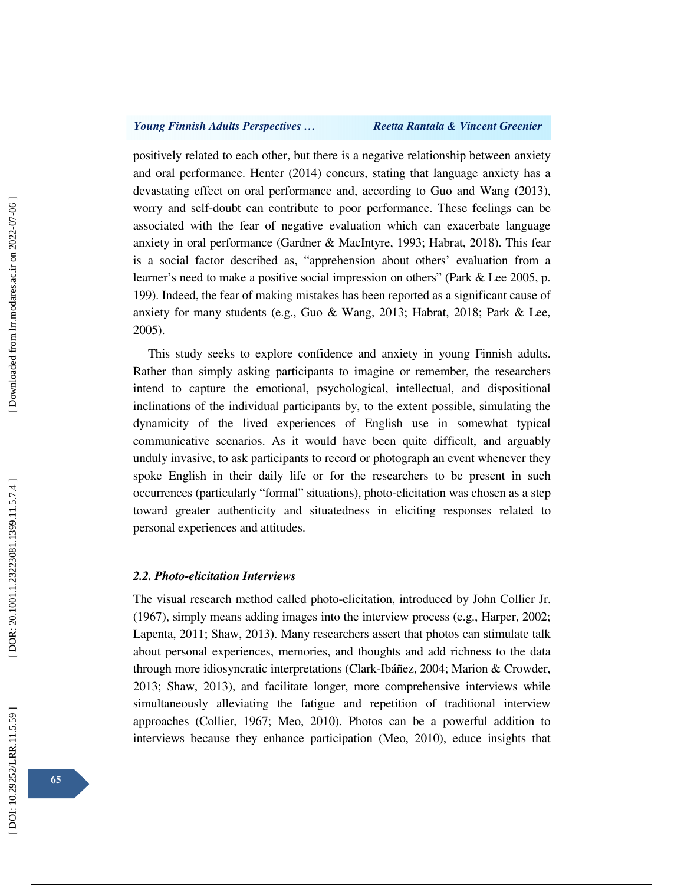positively related to each other, but there is a negative relationship between anxiety and oral performance. Henter (2014) concurs, stating that language anxiety has a devastating effect on oral performance and, according to Guo and Wang (2013), worry and self-doubt can contribute to poor performance. These feelings can be associated with the fear of negative evaluation which can exacerbate language anxiety in oral performance (Gardner & MacIntyre, 1993; Habrat, 2018). This fear is a social factor described as, "apprehension about others' evaluation from a learner's need to make a positive social impression on others" (Park & Lee 2005, p. 199). Indeed, the fear of making mistakes has been reported as a significant cause of anxiety for many students (e.g., Guo & Wang, 2013; Habrat, 2018; Park & Lee, 2005).

This study seeks to explore confidence and anxiety in young Finnish adults. Rather than simply asking participants to imagine or remember, the researchers intend to capture the emotional, psychological, intellectual, and dispositional inclinations of the individual participants by, to the extent possible, simulating the dynamicity of the lived experiences of English use in somewhat typical communicative scenarios. As it would have been quite difficult, and arguably unduly invasive, to ask participants to record or photograph an event whenever they spoke English in their daily life or for the researchers to be present in such occurrences (particularly "formal" situations), photo-elicitation was chosen as a step toward greater authenticity and situatedness in eliciting responses related to personal experiences and attitudes.

### *2.2. Photo-elicitation Interviews*

The visual research method called photo-elicitation, introduced by John Collier Jr. (1967), simply means adding images into the interview process (e.g., Harper, 2002; Lapenta, 2011; Shaw, 2013). Many researchers assert that photos can stimulate talk about personal experiences, memories, and thoughts and add richness to the data through more idiosyncratic interpretations (Clark-Ibáñez, 2004; Marion & Crowder, 2013; Shaw, 2013), and facilitate longer, more comprehensive interviews while simultaneously alleviating the fatigue and repetition of traditional interview approaches (Collier, 1967; Meo, 2010). Photos can be a powerful addition to interviews because they enhance participation (Meo, 2010), educe insights that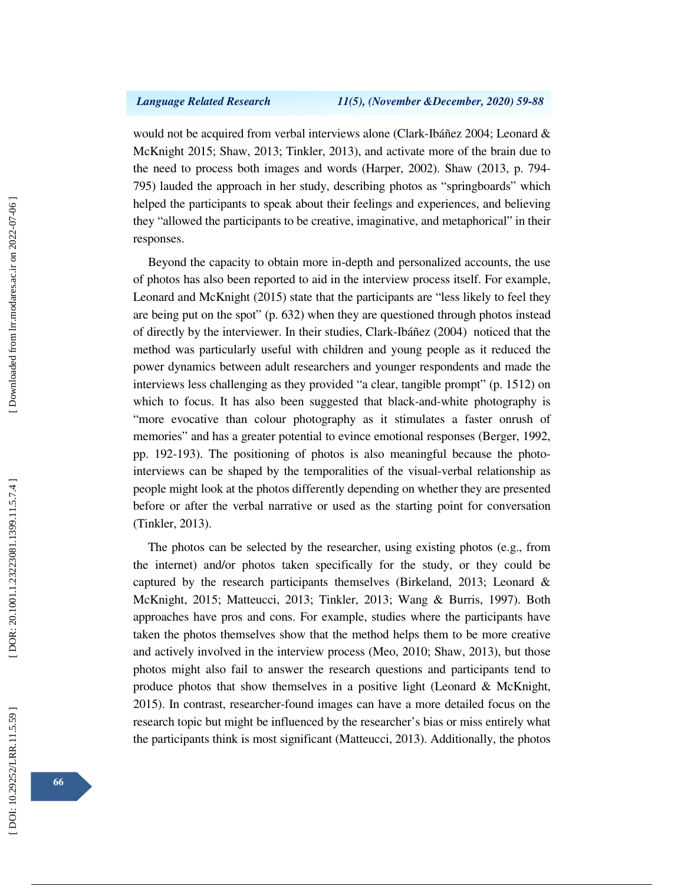would not be acquired from verbal interviews alone (Clark-Ibáñez 2004; Leonard & McKnight 2015; Shaw, 2013; Tinkler, 2013), and activate more of the brain due to the need to process both images and words (Harper, 2002). Shaw (2013, p. 794- 795) lauded the approach in her study, describing photos as "springboards" which helped the participants to speak about their feelings and experiences, and believing they "allowed the participants to be creative, imaginative, and metaphorical" in their responses.

Beyond the capacity to obtain more in-depth and personalized accounts, the use of photos has also been reported to aid in the interview process itself. For example, Leonard and McKnight (2015) state that the participants are "less likely to feel they are being put on the spot" (p. 632) when they are questioned through photos instead of directly by the interviewer. In their studies, Clark-Ibáñez (2004) noticed that the method was particularly useful with children and young people as it reduced the power dynamics between adult researchers and younger respondents and made the interviews less challenging as they provided "a clear, tangible prompt" (p. 1512) on which to focus. It has also been suggested that black-and-white photography is "more evocative than colour photography as it stimulates a faster onrush of memories" and has a greater potential to evince emotional responses (Berger, 1992, pp. 192-193). The positioning of photos is also meaningful because the photointerviews can be shaped by the temporalities of the visual-verbal relationship as people might look at the photos differently depending on whether they are presented before or after the verbal narrative or used as the starting point for conversation (Tinkler, 2013).

The photos can be selected by the researcher, using existing photos (e.g., from the internet) and/or photos taken specifically for the study, or they could be captured by the research participants themselves (Birkeland, 2013; Leonard & McKnight, 2015; Matteucci, 2013; Tinkler, 2013; Wang & Burris, 1997). Both approaches have pros and cons. For example, studies where the participants have taken the photos themselves show that the method helps them to be more creative and actively involved in the interview process (Meo, 2010; Shaw, 2013), but those photos might also fail to answer the research questions and participants tend to produce photos that show themselves in a positive light (Leonard & McKnight, 2015). In contrast, researcher-found images can have a more detailed focus on the research topic but might be influenced by the researcher's bias or miss entirely what the participants think is most significant (Matteucci, 2013). Additionally, the photos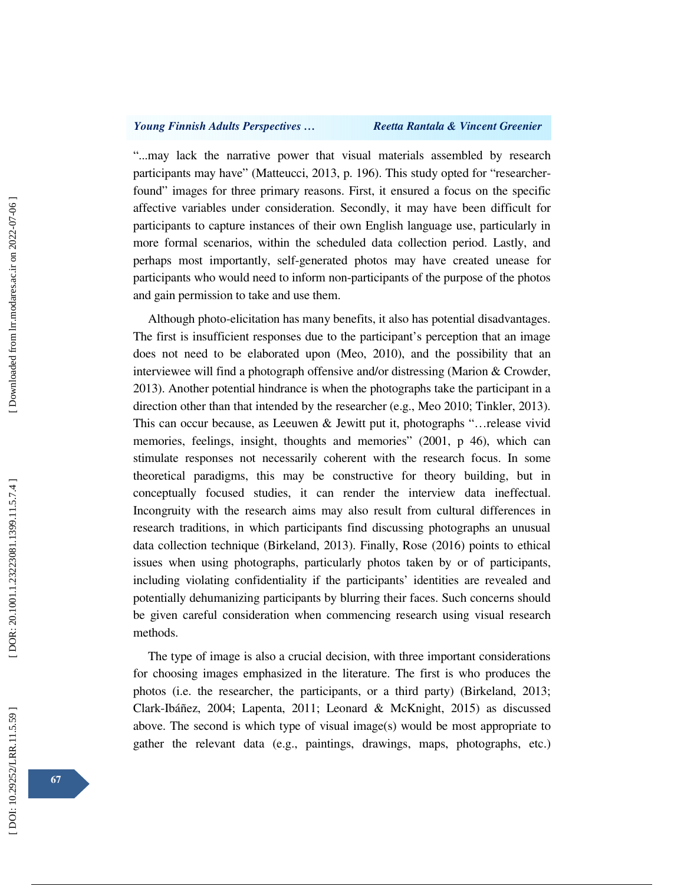"...may lack the narrative power that visual materials assembled by research participants may have" (Matteucci, 2013, p. 196). This study opted for "researcherfound" images for three primary reasons. First, it ensured a focus on the specific affective variables under consideration. Secondly, it may have been difficult for participants to capture instances of their own English language use, particularly in more formal scenarios, within the scheduled data collection period. Lastly, and perhaps most importantly, self-generated photos may have created unease for participants who would need to inform non-participants of the purpose of the photos and gain permission to take and use them.

Although photo-elicitation has many benefits, it also has potential disadvantages. The first is insufficient responses due to the participant's perception that an image does not need to be elaborated upon (Meo, 2010), and the possibility that an interviewee will find a photograph offensive and/or distressing (Marion & Crowder, 2013). Another potential hindrance is when the photographs take the participant in a direction other than that intended by the researcher (e.g., Meo 2010; Tinkler, 2013). This can occur because, as Leeuwen & Jewitt put it, photographs "…release vivid memories, feelings, insight, thoughts and memories" (2001, p 46), which can stimulate responses not necessarily coherent with the research focus. In some theoretical paradigms, this may be constructive for theory building, but in conceptually focused studies, it can render the interview data ineffectual. Incongruity with the research aims may also result from cultural differences in research traditions, in which participants find discussing photographs an unusual data collection technique (Birkeland, 2013). Finally, Rose (2016) points to ethical issues when using photographs, particularly photos taken by or of participants, including violating confidentiality if the participants' identities are revealed and potentially dehumanizing participants by blurring their faces. Such concerns should be given careful consideration when commencing research using visual research methods.

The type of image is also a crucial decision, with three important considerations for choosing images emphasized in the literature. The first is who produces the photos (i.e. the researcher, the participants, or a third party) (Birkeland, 2013; Clark-Ibáñez, 2004; Lapenta, 2011; Leonard & McKnight, 2015) as discussed above. The second is which type of visual image(s) would be most appropriate to gather the relevant data (e.g., paintings, drawings, maps, photographs, etc.)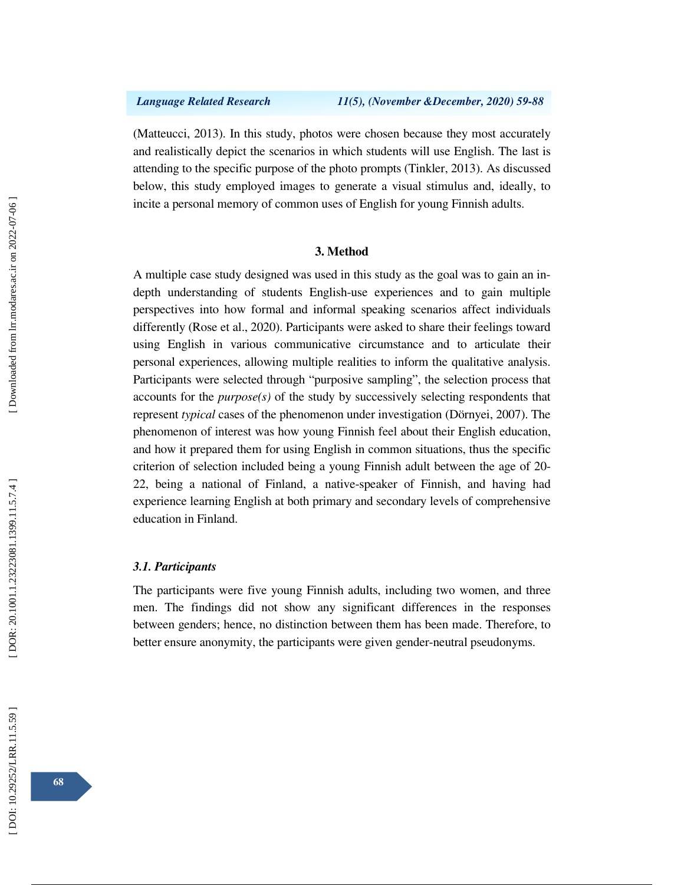(Matteucci, 2013). In this study, photos were chosen because they most accurately and realistically depict the scenarios in which students will use English. The last is attending to the specific purpose of the photo prompts (Tinkler, 2013). As discussed below, this study employed images to generate a visual stimulus and, ideally, to incite a personal memory of common uses of English for young Finnish adults.

## **3. Method**

A multiple case study designed was used in this study as the goal was to gain an indepth understanding of students English-use experiences and to gain multiple perspectives into how formal and informal speaking scenarios affect individuals differently (Rose et al., 2020). Participants were asked to share their feelings toward using English in various communicative circumstance and to articulate their personal experiences, allowing multiple realities to inform the qualitative analysis. Participants were selected through "purposive sampling", the selection process that accounts for the *purpose(s)* of the study by successively selecting respondents that represent *typical* cases of the phenomenon under investigation (Dörnyei, 2007). The phenomenon of interest was how young Finnish feel about their English education, and how it prepared them for using English in common situations, thus the specific criterion of selection included being a young Finnish adult between the age of 20- 22, being a national of Finland, a native-speaker of Finnish, and having had experience learning English at both primary and secondary levels of comprehensive education in Finland.

#### *3.1. Participants*

The participants were five young Finnish adults, including two women, and three men. The findings did not show any significant differences in the responses between genders; hence, no distinction between them has been made. Therefore, to better ensure anonymity, the participants were given gender-neutral pseudonyms.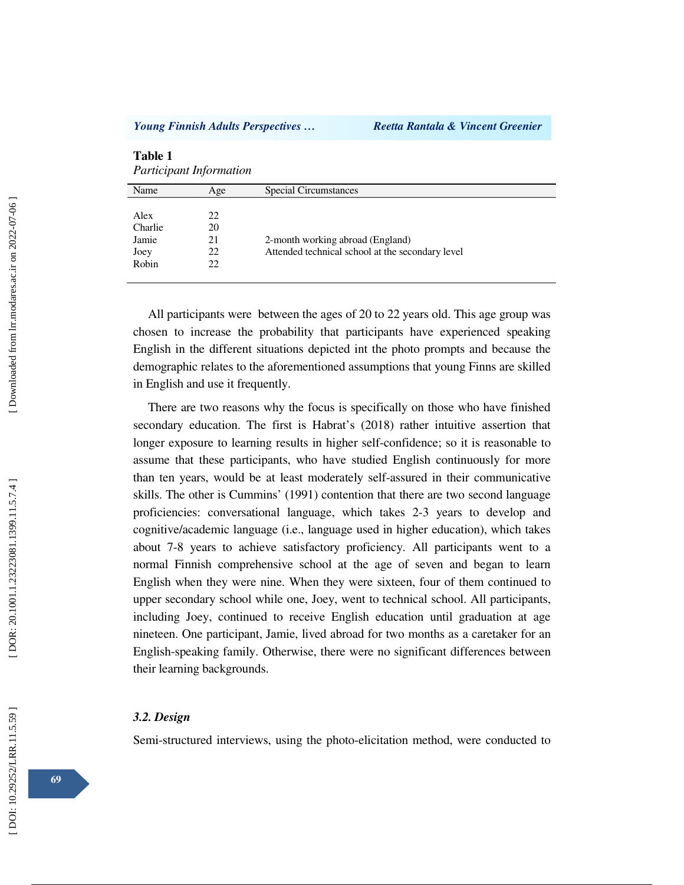| <b>Table 1</b><br><b>Participant Information</b> |     |                                                  |  |  |
|--------------------------------------------------|-----|--------------------------------------------------|--|--|
| Name                                             | Age | Special Circumstances                            |  |  |
|                                                  |     |                                                  |  |  |
| Alex                                             | 22  |                                                  |  |  |
| Charlie                                          | 20  |                                                  |  |  |
| Jamie                                            | 21  | 2-month working abroad (England)                 |  |  |
| Joey                                             | 22  | Attended technical school at the secondary level |  |  |
| Robin                                            | 22  |                                                  |  |  |
|                                                  |     |                                                  |  |  |

All participants were between the ages of 20 to 22 years old. This age group was chosen to increase the probability that participants have experienced speaking English in the different situations depicted int the photo prompts and because the demographic relates to the aforementioned assumptions that young Finns are skilled in English and use it frequently.

There are two reasons why the focus is specifically on those who have finished secondary education. The first is Habrat's (2018) rather intuitive assertion that longer exposure to learning results in higher self-confidence; so it is reasonable to assume that these participants, who have studied English continuously for more than ten years, would be at least moderately self-assured in their communicative skills. The other is Cummins' (1991) contention that there are two second language proficiencies: conversational language, which takes 2-3 years to develop and cognitive/academic language (i.e., language used in higher education), which takes about 7-8 years to achieve satisfactory proficiency. All participants went to a normal Finnish comprehensive school at the age of seven and began to learn English when they were nine. When they were sixteen, four of them continued to upper secondary school while one, Joey, went to technical school. All participants, including Joey, continued to receive English education until graduation at age nineteen. One participant, Jamie, lived abroad for two months as a caretaker for an English-speaking family. Otherwise, there were no significant differences between their learning backgrounds.

#### *3.2. Design*

Semi-structured interviews, using the photo-elicitation method, were conducted to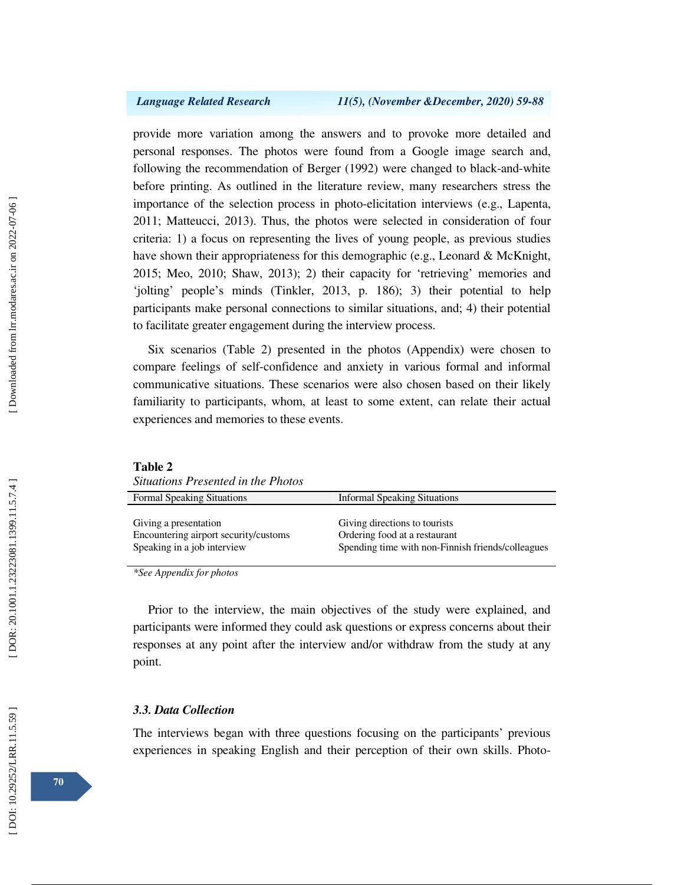provide more variation among the answers and to provoke more detailed and personal responses. The photos were found from a Google image search and, following the recommendation of Berger (1992) were changed to black-and-white before printing. As outlined in the literature review, many researchers stress the importance of the selection process in photo-elicitation interviews (e.g., Lapenta, 2011; Matteucci, 2013). Thus, the photos were selected in consideration of four criteria: 1) a focus on representing the lives of young people, as previous studies have shown their appropriateness for this demographic (e.g., Leonard & McKnight, 2015; Meo, 2010; Shaw, 2013); 2) their capacity for 'retrieving' memories and 'jolting' people's minds (Tinkler, 2013, p. 186); 3) their potential to help participants make personal connections to similar situations, and; 4) their potential to facilitate greater engagement during the interview process.

Six scenarios (Table 2) presented in the photos (Appendix) were chosen to compare feelings of self-confidence and anxiety in various formal and informal communicative situations. These scenarios were also chosen based on their likely familiarity to participants, whom, at least to some extent, can relate their actual experiences and memories to these events.

| Situations Presented in the Photos                                                            |                                                                                                                     |  |  |  |
|-----------------------------------------------------------------------------------------------|---------------------------------------------------------------------------------------------------------------------|--|--|--|
| <b>Formal Speaking Situations</b>                                                             | <b>Informal Speaking Situations</b>                                                                                 |  |  |  |
| Giving a presentation<br>Encountering airport security/customs<br>Speaking in a job interview | Giving directions to tourists<br>Ordering food at a restaurant<br>Spending time with non-Finnish friends/colleagues |  |  |  |

*\*See Appendix for photos* 

**Table 2** 

Prior to the interview, the main objectives of the study were explained, and participants were informed they could ask questions or express concerns about their responses at any point after the interview and/or withdraw from the study at any point.

#### *3.3. Data Collection*

The interviews began with three questions focusing on the participants' previous experiences in speaking English and their perception of their own skills. Photo-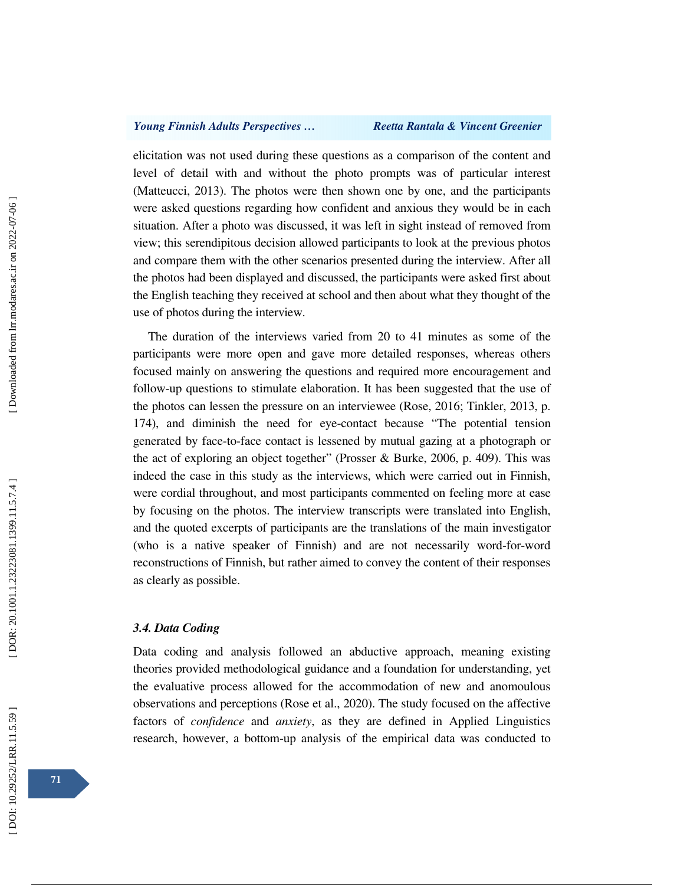elicitation was not used during these questions as a comparison of the content and level of detail with and without the photo prompts was of particular interest (Matteucci, 2013). The photos were then shown one by one, and the participants were asked questions regarding how confident and anxious they would be in each situation. After a photo was discussed, it was left in sight instead of removed from view; this serendipitous decision allowed participants to look at the previous photos and compare them with the other scenarios presented during the interview. After all the photos had been displayed and discussed, the participants were asked first about the English teaching they received at school and then about what they thought of the use of photos during the interview.

The duration of the interviews varied from 20 to 41 minutes as some of the participants were more open and gave more detailed responses, whereas others focused mainly on answering the questions and required more encouragement and follow-up questions to stimulate elaboration. It has been suggested that the use of the photos can lessen the pressure on an interviewee (Rose, 2016; Tinkler, 2013, p. 174), and diminish the need for eye-contact because "The potential tension generated by face-to-face contact is lessened by mutual gazing at a photograph or the act of exploring an object together" (Prosser & Burke, 2006, p. 409). This was indeed the case in this study as the interviews, which were carried out in Finnish, were cordial throughout, and most participants commented on feeling more at ease by focusing on the photos. The interview transcripts were translated into English, and the quoted excerpts of participants are the translations of the main investigator (who is a native speaker of Finnish) and are not necessarily word-for-word reconstructions of Finnish, but rather aimed to convey the content of their responses as clearly as possible.

### *3.4. Data Coding*

Data coding and analysis followed an abductive approach, meaning existing theories provided methodological guidance and a foundation for understanding, yet the evaluative process allowed for the accommodation of new and anomoulous observations and perceptions (Rose et al., 2020). The study focused on the affective factors of *confidence* and *anxiety*, as they are defined in Applied Linguistics research, however, a bottom-up analysis of the empirical data was conducted to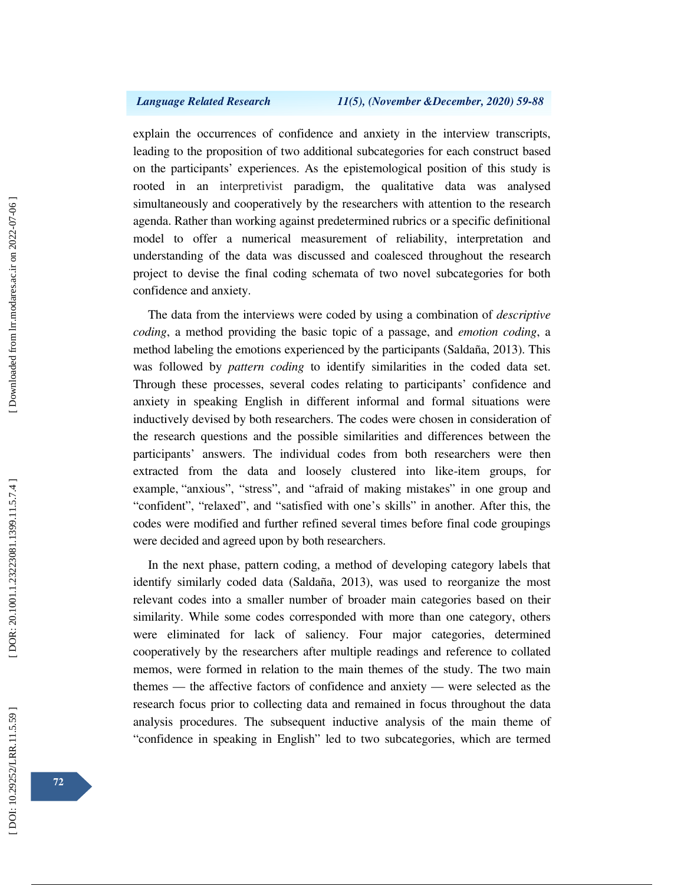explain the occurrences of confidence and anxiety in the interview transcripts, leading to the proposition of two additional subcategories for each construct based on the participants' experiences. As the epistemological position of this study is rooted in an interpretivist paradigm, the qualitative data was analysed simultaneously and cooperatively by the researchers with attention to the research agenda. Rather than working against predetermined rubrics or a specific definitional model to offer a numerical measurement of reliability, interpretation and understanding of the data was discussed and coalesced throughout the research project to devise the final coding schemata of two novel subcategories for both confidence and anxiety.

The data from the interviews were coded by using a combination of *descriptive coding*, a method providing the basic topic of a passage, and *emotion coding*, a method labeling the emotions experienced by the participants (Saldaña, 2013). This was followed by *pattern coding* to identify similarities in the coded data set. Through these processes, several codes relating to participants' confidence and anxiety in speaking English in different informal and formal situations were inductively devised by both researchers. The codes were chosen in consideration of the research questions and the possible similarities and differences between the participants' answers. The individual codes from both researchers were then extracted from the data and loosely clustered into like-item groups, for example, "anxious", "stress", and "afraid of making mistakes" in one group and "confident", "relaxed", and "satisfied with one's skills" in another. After this, the codes were modified and further refined several times before final code groupings were decided and agreed upon by both researchers.

In the next phase, pattern coding, a method of developing category labels that identify similarly coded data (Saldaña, 2013), was used to reorganize the most relevant codes into a smaller number of broader main categories based on their similarity. While some codes corresponded with more than one category, others were eliminated for lack of saliency. Four major categories, determined cooperatively by the researchers after multiple readings and reference to collated memos, were formed in relation to the main themes of the study. The two main themes — the affective factors of confidence and anxiety — were selected as the research focus prior to collecting data and remained in focus throughout the data analysis procedures. The subsequent inductive analysis of the main theme of "confidence in speaking in English" led to two subcategories, which are termed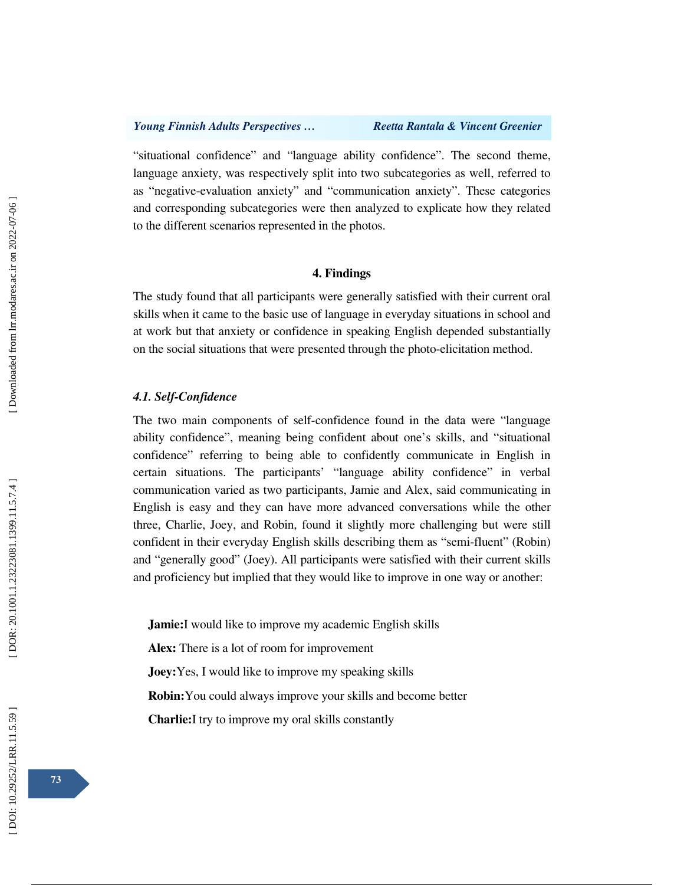"situational confidence" and "language ability confidence". The second theme, language anxiety, was respectively split into two subcategories as well, referred to as "negative-evaluation anxiety" and "communication anxiety". These categories and corresponding subcategories were then analyzed to explicate how they related to the different scenarios represented in the photos.

## **4. Findings**

The study found that all participants were generally satisfied with their current oral skills when it came to the basic use of language in everyday situations in school and at work but that anxiety or confidence in speaking English depended substantially on the social situations that were presented through the photo-elicitation method.

## *4.1. Self-Confidence*

The two main components of self-confidence found in the data were "language ability confidence", meaning being confident about one's skills, and "situational confidence" referring to being able to confidently communicate in English in certain situations. The participants' "language ability confidence" in verbal communication varied as two participants, Jamie and Alex, said communicating in English is easy and they can have more advanced conversations while the other three, Charlie, Joey, and Robin, found it slightly more challenging but were still confident in their everyday English skills describing them as "semi-fluent" (Robin) and "generally good" (Joey). All participants were satisfied with their current skills and proficiency but implied that they would like to improve in one way or another:

**Jamie:**I would like to improve my academic English skills

**Alex:** There is a lot of room for improvement

**Joey:**Yes, I would like to improve my speaking skills

**Robin:**You could always improve your skills and become better

**Charlie:**I try to improve my oral skills constantly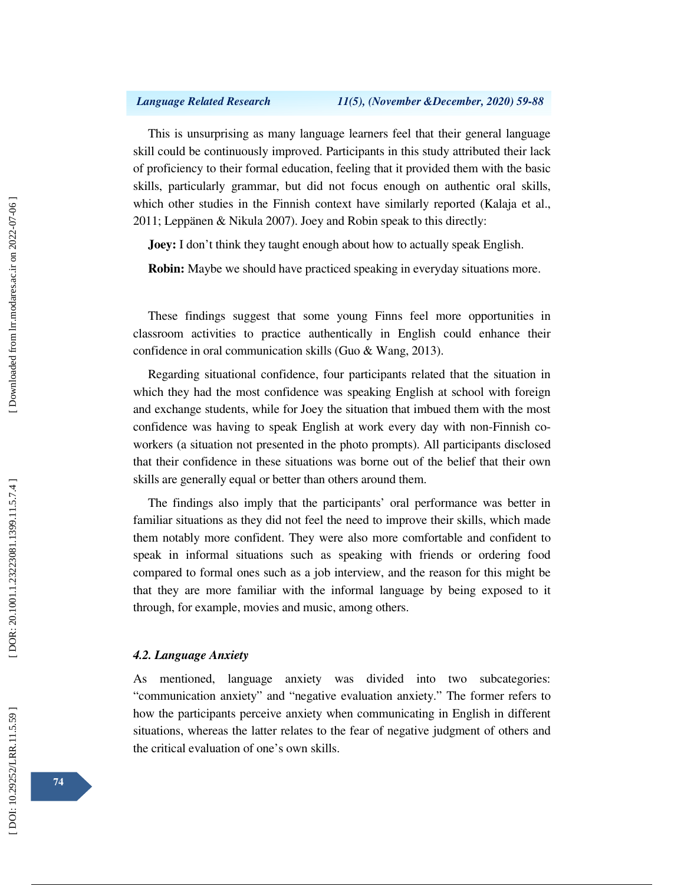This is unsurprising as many language learners feel that their general language skill could be continuously improved. Participants in this study attributed their lack of proficiency to their formal education, feeling that it provided them with the basic skills, particularly grammar, but did not focus enough on authentic oral skills, which other studies in the Finnish context have similarly reported (Kalaja et al., 2011; Leppänen & Nikula 2007). Joey and Robin speak to this directly:

**Joey:** I don't think they taught enough about how to actually speak English.

**Robin:** Maybe we should have practiced speaking in everyday situations more.

These findings suggest that some young Finns feel more opportunities in classroom activities to practice authentically in English could enhance their confidence in oral communication skills (Guo & Wang, 2013).

Regarding situational confidence, four participants related that the situation in which they had the most confidence was speaking English at school with foreign and exchange students, while for Joey the situation that imbued them with the most confidence was having to speak English at work every day with non-Finnish coworkers (a situation not presented in the photo prompts). All participants disclosed that their confidence in these situations was borne out of the belief that their own skills are generally equal or better than others around them.

The findings also imply that the participants' oral performance was better in familiar situations as they did not feel the need to improve their skills, which made them notably more confident. They were also more comfortable and confident to speak in informal situations such as speaking with friends or ordering food compared to formal ones such as a job interview, and the reason for this might be that they are more familiar with the informal language by being exposed to it through, for example, movies and music, among others.

### *4.2. Language Anxiety*

As mentioned, language anxiety was divided into two subcategories: "communication anxiety" and "negative evaluation anxiety." The former refers to how the participants perceive anxiety when communicating in English in different situations, whereas the latter relates to the fear of negative judgment of others and the critical evaluation of one's own skills.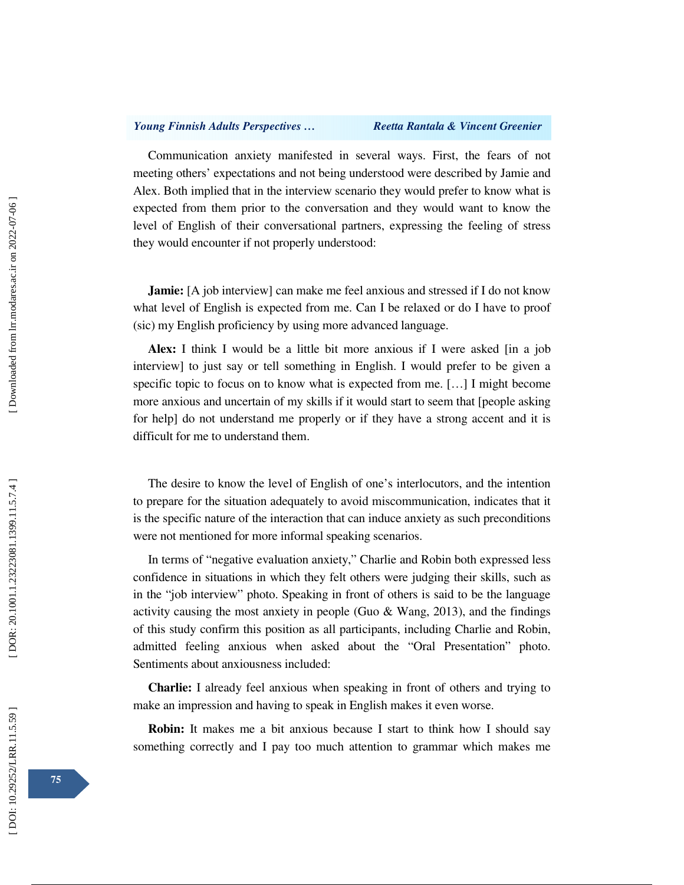Communication anxiety manifested in several ways. First, the fears of not meeting others' expectations and not being understood were described by Jamie and Alex. Both implied that in the interview scenario they would prefer to know what is expected from them prior to the conversation and they would want to know the level of English of their conversational partners, expressing the feeling of stress they would encounter if not properly understood:

**Jamie:** [A job interview] can make me feel anxious and stressed if I do not know what level of English is expected from me. Can I be relaxed or do I have to proof (sic) my English proficiency by using more advanced language.

**Alex:** I think I would be a little bit more anxious if I were asked [in a job interview] to just say or tell something in English. I would prefer to be given a specific topic to focus on to know what is expected from me. […] I might become more anxious and uncertain of my skills if it would start to seem that [people asking for help] do not understand me properly or if they have a strong accent and it is difficult for me to understand them.

The desire to know the level of English of one's interlocutors, and the intention to prepare for the situation adequately to avoid miscommunication, indicates that it is the specific nature of the interaction that can induce anxiety as such preconditions were not mentioned for more informal speaking scenarios.

In terms of "negative evaluation anxiety," Charlie and Robin both expressed less confidence in situations in which they felt others were judging their skills, such as in the "job interview" photo. Speaking in front of others is said to be the language activity causing the most anxiety in people (Guo & Wang, 2013), and the findings of this study confirm this position as all participants, including Charlie and Robin, admitted feeling anxious when asked about the "Oral Presentation" photo. Sentiments about anxiousness included:

**Charlie:** I already feel anxious when speaking in front of others and trying to make an impression and having to speak in English makes it even worse.

**Robin:** It makes me a bit anxious because I start to think how I should say something correctly and I pay too much attention to grammar which makes me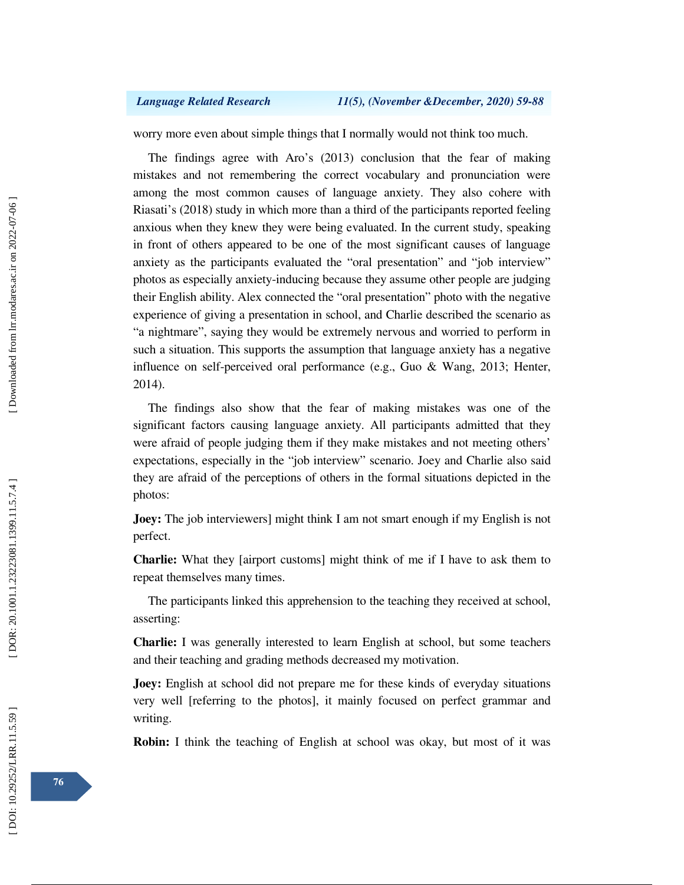worry more even about simple things that I normally would not think too much.

The findings agree with Aro's (2013) conclusion that the fear of making mistakes and not remembering the correct vocabulary and pronunciation were among the most common causes of language anxiety. They also cohere with Riasati's (2018) study in which more than a third of the participants reported feeling anxious when they knew they were being evaluated. In the current study, speaking in front of others appeared to be one of the most significant causes of language anxiety as the participants evaluated the "oral presentation" and "job interview" photos as especially anxiety-inducing because they assume other people are judging their English ability. Alex connected the "oral presentation" photo with the negative experience of giving a presentation in school, and Charlie described the scenario as "a nightmare", saying they would be extremely nervous and worried to perform in such a situation. This supports the assumption that language anxiety has a negative influence on self-perceived oral performance (e.g., Guo & Wang, 2013; Henter, 2014).

The findings also show that the fear of making mistakes was one of the significant factors causing language anxiety. All participants admitted that they were afraid of people judging them if they make mistakes and not meeting others' expectations, especially in the "job interview" scenario. Joey and Charlie also said they are afraid of the perceptions of others in the formal situations depicted in the photos:

**Joey:** The job interviewers] might think I am not smart enough if my English is not perfect.

**Charlie:** What they [airport customs] might think of me if I have to ask them to repeat themselves many times.

The participants linked this apprehension to the teaching they received at school, asserting:

**Charlie:** I was generally interested to learn English at school, but some teachers and their teaching and grading methods decreased my motivation.

**Joey:** English at school did not prepare me for these kinds of everyday situations very well [referring to the photos], it mainly focused on perfect grammar and writing.

**Robin:** I think the teaching of English at school was okay, but most of it was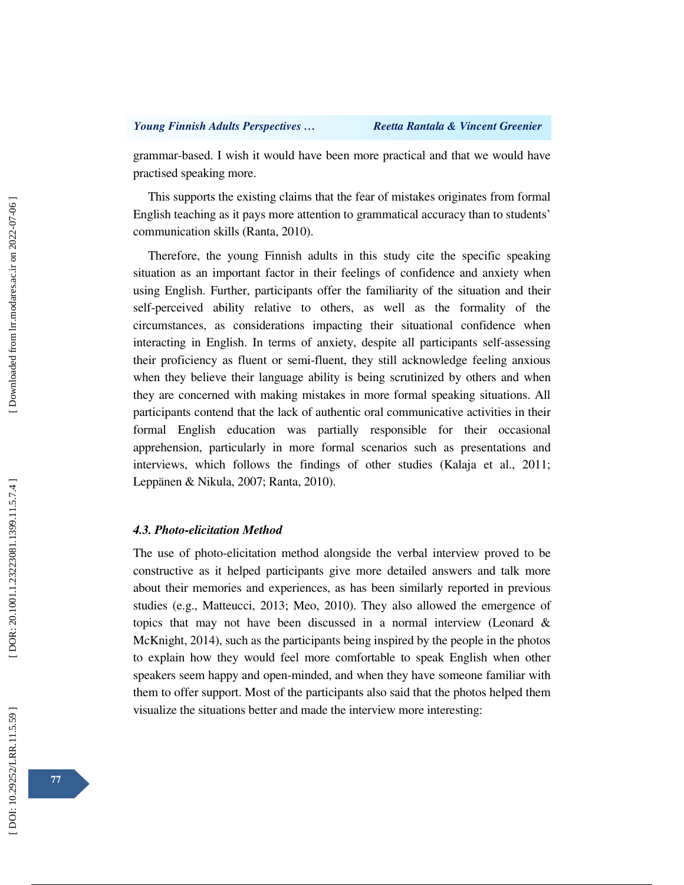grammar-based. I wish it would have been more practical and that we would have practised speaking more.

This supports the existing claims that the fear of mistakes originates from formal English teaching as it pays more attention to grammatical accuracy than to students' communication skills (Ranta, 2010).

Therefore, the young Finnish adults in this study cite the specific speaking situation as an important factor in their feelings of confidence and anxiety when using English. Further, participants offer the familiarity of the situation and their self-perceived ability relative to others, as well as the formality of the circumstances, as considerations impacting their situational confidence when interacting in English. In terms of anxiety, despite all participants self-assessing their proficiency as fluent or semi-fluent, they still acknowledge feeling anxious when they believe their language ability is being scrutinized by others and when they are concerned with making mistakes in more formal speaking situations. All participants contend that the lack of authentic oral communicative activities in their formal English education was partially responsible for their occasional apprehension, particularly in more formal scenarios such as presentations and interviews, which follows the findings of other studies (Kalaja et al., 2011; Leppänen & Nikula, 2007; Ranta, 2010).

## *4.3. Photo-elicitation Method*

The use of photo-elicitation method alongside the verbal interview proved to be constructive as it helped participants give more detailed answers and talk more about their memories and experiences, as has been similarly reported in previous studies (e.g., Matteucci, 2013; Meo, 2010). They also allowed the emergence of topics that may not have been discussed in a normal interview (Leonard & McKnight, 2014), such as the participants being inspired by the people in the photos to explain how they would feel more comfortable to speak English when other speakers seem happy and open-minded, and when they have someone familiar with them to offer support. Most of the participants also said that the photos helped them visualize the situations better and made the interview more interesting: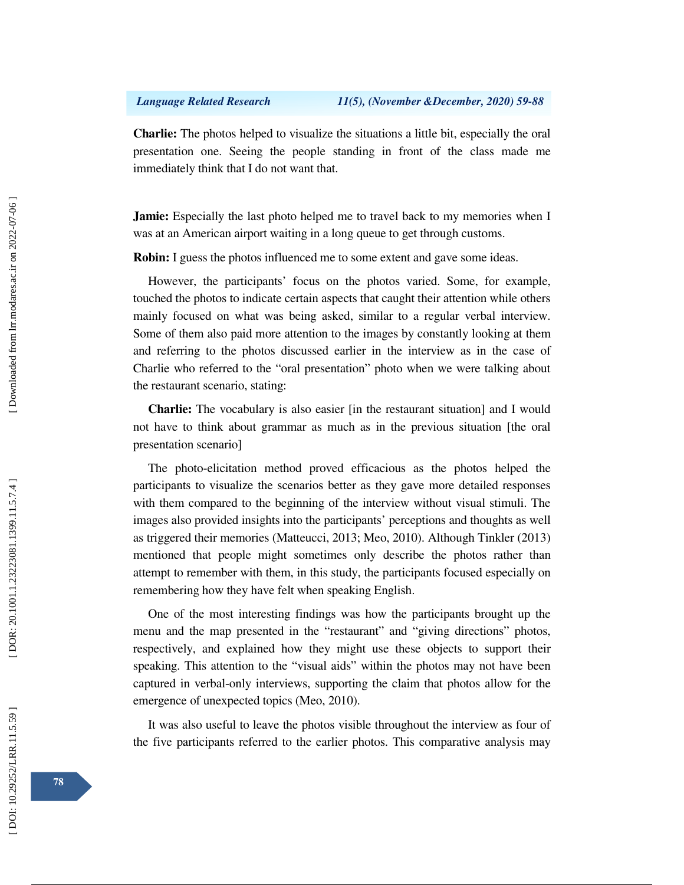**Charlie:** The photos helped to visualize the situations a little bit, especially the oral presentation one. Seeing the people standing in front of the class made me immediately think that I do not want that.

**Jamie:** Especially the last photo helped me to travel back to my memories when I was at an American airport waiting in a long queue to get through customs.

**Robin:** I guess the photos influenced me to some extent and gave some ideas.

However, the participants' focus on the photos varied. Some, for example, touched the photos to indicate certain aspects that caught their attention while others mainly focused on what was being asked, similar to a regular verbal interview. Some of them also paid more attention to the images by constantly looking at them and referring to the photos discussed earlier in the interview as in the case of Charlie who referred to the "oral presentation" photo when we were talking about the restaurant scenario, stating:

**Charlie:** The vocabulary is also easier [in the restaurant situation] and I would not have to think about grammar as much as in the previous situation [the oral presentation scenario]

The photo-elicitation method proved efficacious as the photos helped the participants to visualize the scenarios better as they gave more detailed responses with them compared to the beginning of the interview without visual stimuli. The images also provided insights into the participants' perceptions and thoughts as well as triggered their memories (Matteucci, 2013; Meo, 2010). Although Tinkler (2013) mentioned that people might sometimes only describe the photos rather than attempt to remember with them, in this study, the participants focused especially on remembering how they have felt when speaking English.

One of the most interesting findings was how the participants brought up the menu and the map presented in the "restaurant" and "giving directions" photos, respectively, and explained how they might use these objects to support their speaking. This attention to the "visual aids" within the photos may not have been captured in verbal-only interviews, supporting the claim that photos allow for the emergence of unexpected topics (Meo, 2010).

It was also useful to leave the photos visible throughout the interview as four of the five participants referred to the earlier photos. This comparative analysis may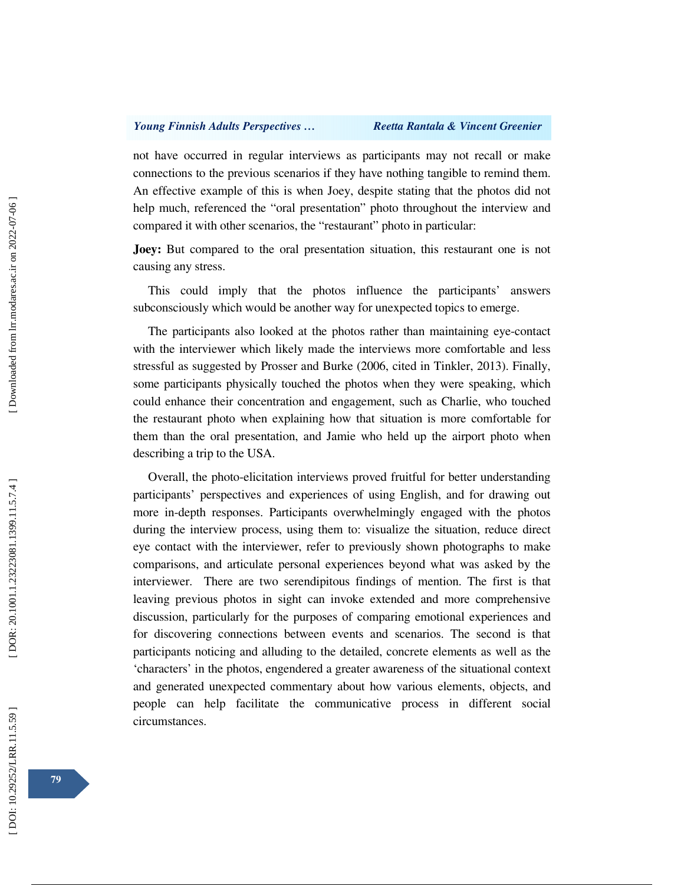not have occurred in regular interviews as participants may not recall or make connections to the previous scenarios if they have nothing tangible to remind them. An effective example of this is when Joey, despite stating that the photos did not help much, referenced the "oral presentation" photo throughout the interview and compared it with other scenarios, the "restaurant" photo in particular:

**Joey:** But compared to the oral presentation situation, this restaurant one is not causing any stress.

This could imply that the photos influence the participants' answers subconsciously which would be another way for unexpected topics to emerge.

The participants also looked at the photos rather than maintaining eye-contact with the interviewer which likely made the interviews more comfortable and less stressful as suggested by Prosser and Burke (2006, cited in Tinkler, 2013). Finally, some participants physically touched the photos when they were speaking, which could enhance their concentration and engagement, such as Charlie, who touched the restaurant photo when explaining how that situation is more comfortable for them than the oral presentation, and Jamie who held up the airport photo when describing a trip to the USA.

Overall, the photo-elicitation interviews proved fruitful for better understanding participants' perspectives and experiences of using English, and for drawing out more in-depth responses. Participants overwhelmingly engaged with the photos during the interview process, using them to: visualize the situation, reduce direct eye contact with the interviewer, refer to previously shown photographs to make comparisons, and articulate personal experiences beyond what was asked by the interviewer. There are two serendipitous findings of mention. The first is that leaving previous photos in sight can invoke extended and more comprehensive discussion, particularly for the purposes of comparing emotional experiences and for discovering connections between events and scenarios. The second is that participants noticing and alluding to the detailed, concrete elements as well as the 'characters' in the photos, engendered a greater awareness of the situational context and generated unexpected commentary about how various elements, objects, and people can help facilitate the communicative process in different social circumstances.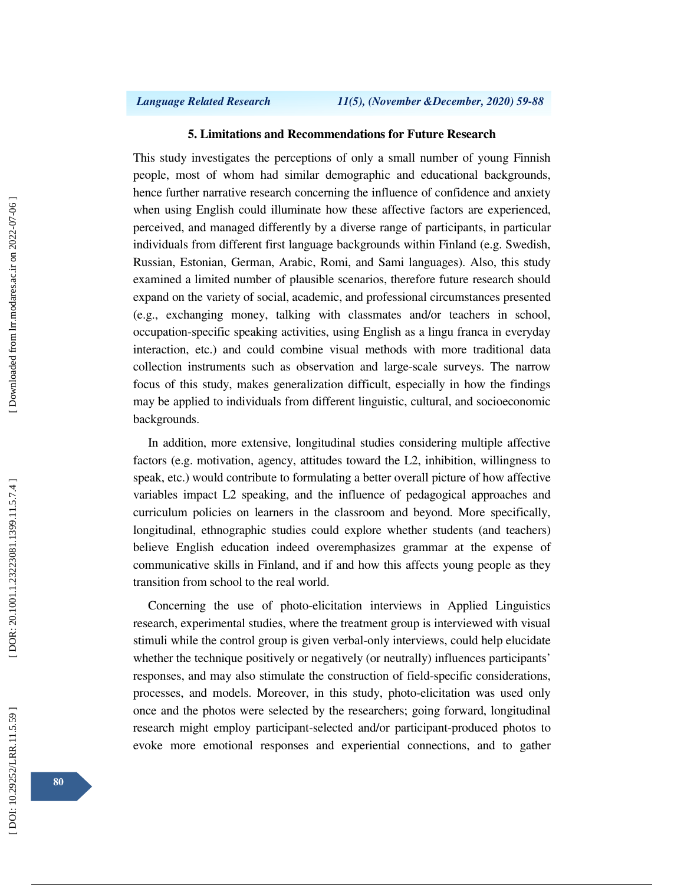## **5. Limitations and Recommendations for Future Research**

This study investigates the perceptions of only a small number of young Finnish people, most of whom had similar demographic and educational backgrounds, hence further narrative research concerning the influence of confidence and anxiety when using English could illuminate how these affective factors are experienced, perceived, and managed differently by a diverse range of participants, in particular individuals from different first language backgrounds within Finland (e.g. Swedish, Russian, Estonian, German, Arabic, Romi, and Sami languages). Also, this study examined a limited number of plausible scenarios, therefore future research should expand on the variety of social, academic, and professional circumstances presented (e.g., exchanging money, talking with classmates and/or teachers in school, occupation-specific speaking activities, using English as a lingu franca in everyday interaction, etc.) and could combine visual methods with more traditional data collection instruments such as observation and large-scale surveys. The narrow focus of this study, makes generalization difficult, especially in how the findings may be applied to individuals from different linguistic, cultural, and socioeconomic backgrounds.

In addition, more extensive, longitudinal studies considering multiple affective factors (e.g. motivation, agency, attitudes toward the L2, inhibition, willingness to speak, etc.) would contribute to formulating a better overall picture of how affective variables impact L2 speaking, and the influence of pedagogical approaches and curriculum policies on learners in the classroom and beyond. More specifically, longitudinal, ethnographic studies could explore whether students (and teachers) believe English education indeed overemphasizes grammar at the expense of communicative skills in Finland, and if and how this affects young people as they transition from school to the real world.

Concerning the use of photo-elicitation interviews in Applied Linguistics research, experimental studies, where the treatment group is interviewed with visual stimuli while the control group is given verbal-only interviews, could help elucidate whether the technique positively or negatively (or neutrally) influences participants' responses, and may also stimulate the construction of field-specific considerations, processes, and models. Moreover, in this study, photo-elicitation was used only once and the photos were selected by the researchers; going forward, longitudinal research might employ participant-selected and/or participant-produced photos to evoke more emotional responses and experiential connections, and to gather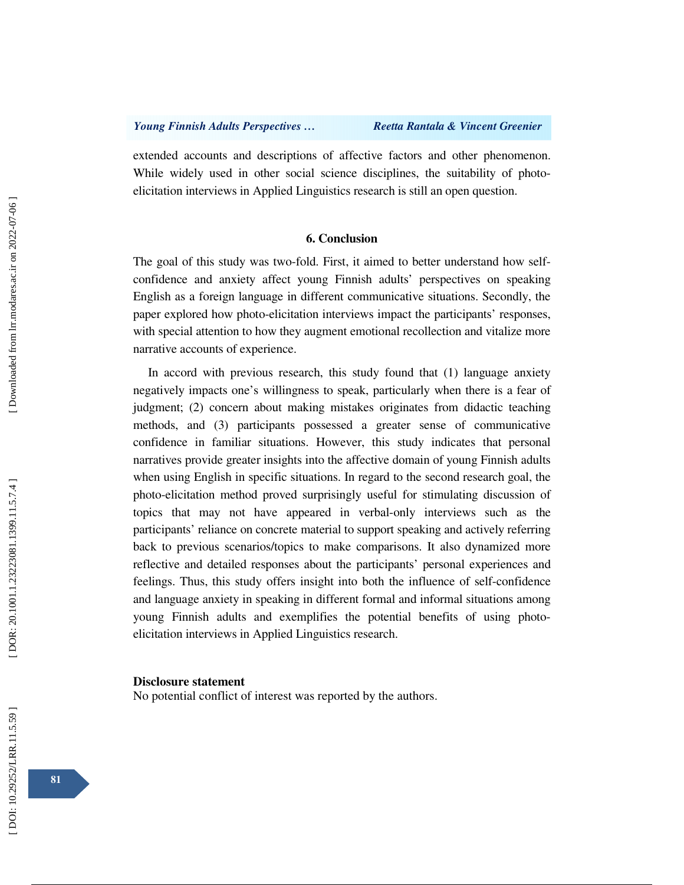extended accounts and descriptions of affective factors and other phenomenon. While widely used in other social science disciplines, the suitability of photoelicitation interviews in Applied Linguistics research is still an open question.

### **6. Conclusion**

The goal of this study was two-fold. First, it aimed to better understand how selfconfidence and anxiety affect young Finnish adults' perspectives on speaking English as a foreign language in different communicative situations. Secondly, the paper explored how photo-elicitation interviews impact the participants' responses, with special attention to how they augment emotional recollection and vitalize more narrative accounts of experience.

In accord with previous research, this study found that (1) language anxiety negatively impacts one's willingness to speak, particularly when there is a fear of judgment; (2) concern about making mistakes originates from didactic teaching methods, and (3) participants possessed a greater sense of communicative confidence in familiar situations. However, this study indicates that personal narratives provide greater insights into the affective domain of young Finnish adults when using English in specific situations. In regard to the second research goal, the photo-elicitation method proved surprisingly useful for stimulating discussion of topics that may not have appeared in verbal-only interviews such as the participants' reliance on concrete material to support speaking and actively referring back to previous scenarios/topics to make comparisons. It also dynamized more reflective and detailed responses about the participants' personal experiences and feelings. Thus, this study offers insight into both the influence of self-confidence and language anxiety in speaking in different formal and informal situations among young Finnish adults and exemplifies the potential benefits of using photoelicitation interviews in Applied Linguistics research.

#### **Disclosure statement**

No potential conflict of interest was reported by the authors.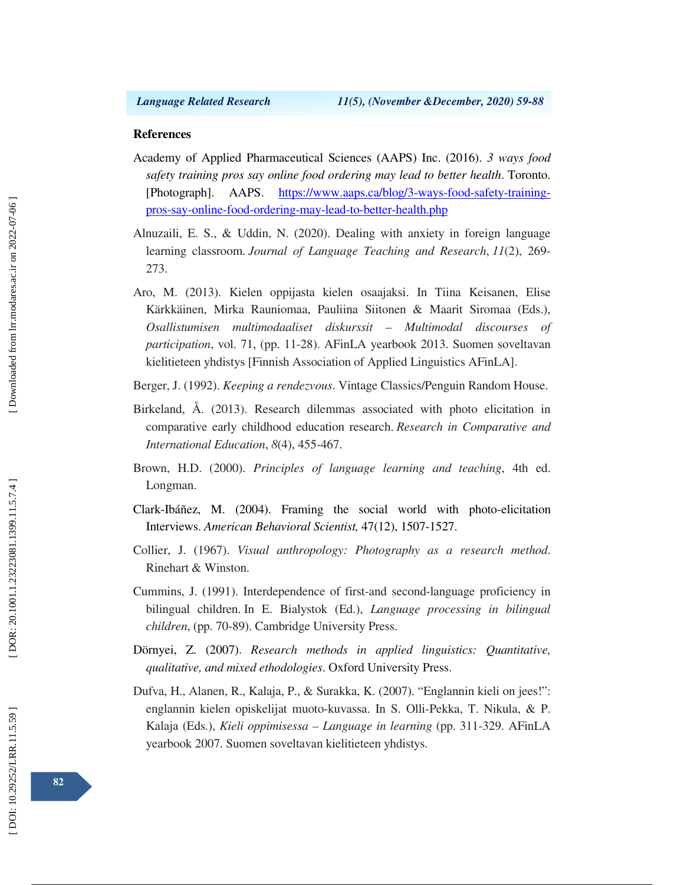### **References**

- Academy of Applied Pharmaceutical Sciences (AAPS) Inc. (2016). *3 ways food safety training pros say online food ordering may lead to better health*. Toronto. [Photograph]. AAPS. https://www.aaps.ca/blog/3-ways-food-safety-trainingpros-say-online-food-ordering-may-lead-to-better-health.php
- Alnuzaili, E. S., & Uddin, N. (2020). Dealing with anxiety in foreign language learning classroom. *Journal of Language Teaching and Research*, *11*(2), 269- 273.
- Aro, M. (2013). Kielen oppijasta kielen osaajaksi. In Tiina Keisanen, Elise Kärkkäinen, Mirka Rauniomaa, Pauliina Siitonen & Maarit Siromaa (Eds.), *Osallistumisen multimodaaliset diskurssit – Multimodal discourses of participation*, vol. 71, (pp. 11-28). AFinLA yearbook 2013. Suomen soveltavan kielitieteen yhdistys [Finnish Association of Applied Linguistics AFinLA].
- Berger, J. (1992). *Keeping a rendezvous*. Vintage Classics/Penguin Random House.
- Birkeland, Å. (2013). Research dilemmas associated with photo elicitation in comparative early childhood education research. *Research in Comparative and International Education*, *8*(4), 455-467.
- Brown, H.D. (2000). *Principles of language learning and teaching*, 4th ed. Longman.
- Clark-Ibáñez, M. (2004). Framing the social world with photo-elicitation Interviews. *American Behavioral Scientist,* 47(12), 1507-1527.
- Collier, J. (1967). *Visual anthropology: Photography as a research method*. Rinehart & Winston.
- Cummins, J. (1991). Interdependence of first-and second-language proficiency in bilingual children. In E. Bialystok (Ed.), *Language processing in bilingual children*, (pp. 70-89). Cambridge University Press.
- Dörnyei, Z. (2007). *Research methods in applied linguistics: Quantitative, qualitative, and mixed ethodologies*. Oxford University Press.
- Dufva, H., Alanen, R., Kalaja, P., & Surakka, K. (2007). "Englannin kieli on jees!": englannin kielen opiskelijat muoto-kuvassa. In S. Olli-Pekka, T. Nikula, & P. Kalaja (Eds.), *Kieli oppimisessa – Language in learning* (pp. 311-329. AFinLA yearbook 2007. Suomen soveltavan kielitieteen yhdistys.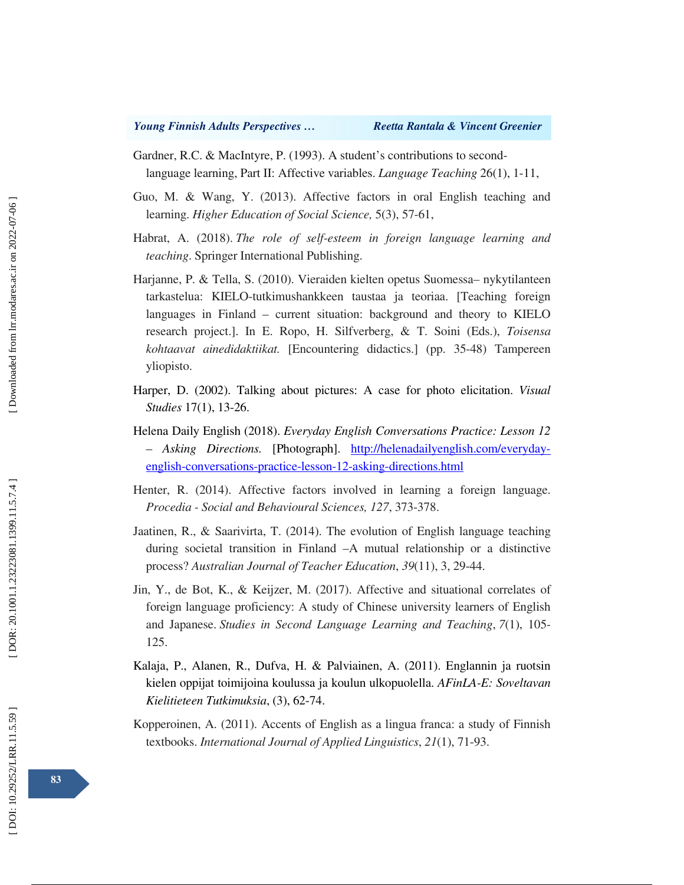- Gardner, R.C. & MacIntyre, P. (1993). A student's contributions to secondlanguage learning, Part II: Affective variables. *Language Teaching* 26(1), 1-11,
- Guo, M. & Wang, Y. (2013). Affective factors in oral English teaching and learning. *Higher Education of Social Science,* 5(3), 57-61,
- Habrat, A. (2018). *The role of self-esteem in foreign language learning and teaching*. Springer International Publishing.
- Harjanne, P. & Tella, S. (2010). Vieraiden kielten opetus Suomessa– nykytilanteen tarkastelua: KIELO-tutkimushankkeen taustaa ja teoriaa. [Teaching foreign languages in Finland – current situation: background and theory to KIELO research project.]. In E. Ropo, H. Silfverberg, & T. Soini (Eds.), *Toisensa kohtaavat ainedidaktiikat.* [Encountering didactics.] (pp. 35-48) Tampereen yliopisto.
- Harper, D. (2002). Talking about pictures: A case for photo elicitation. *Visual Studies* 17(1), 13-26.
- Helena Daily English (2018). *Everyday English Conversations Practice: Lesson 12 – Asking Directions.* [Photograph]. http://helenadailyenglish.com/everydayenglish-conversations-practice-lesson-12-asking-directions.html
- Henter, R. (2014). Affective factors involved in learning a foreign language. *Procedia - Social and Behavioural Sciences, 127*, 373-378.
- Jaatinen, R., & Saarivirta, T. (2014). The evolution of English language teaching during societal transition in Finland –A mutual relationship or a distinctive process? *Australian Journal of Teacher Education*, *39*(11), 3, 29-44.
- Jin, Y., de Bot, K., & Keijzer, M. (2017). Affective and situational correlates of foreign language proficiency: A study of Chinese university learners of English and Japanese. *Studies in Second Language Learning and Teaching*, *7*(1), 105- 125.
- Kalaja, P., Alanen, R., Dufva, H. & Palviainen, A. (2011). Englannin ja ruotsin kielen oppijat toimijoina koulussa ja koulun ulkopuolella. *AFinLA-E: Soveltavan Kielitieteen Tutkimuksia*, (3), 62-74.
- Kopperoinen, A. (2011). Accents of English as a lingua franca: a study of Finnish textbooks. *International Journal of Applied Linguistics*, *21*(1), 71-93.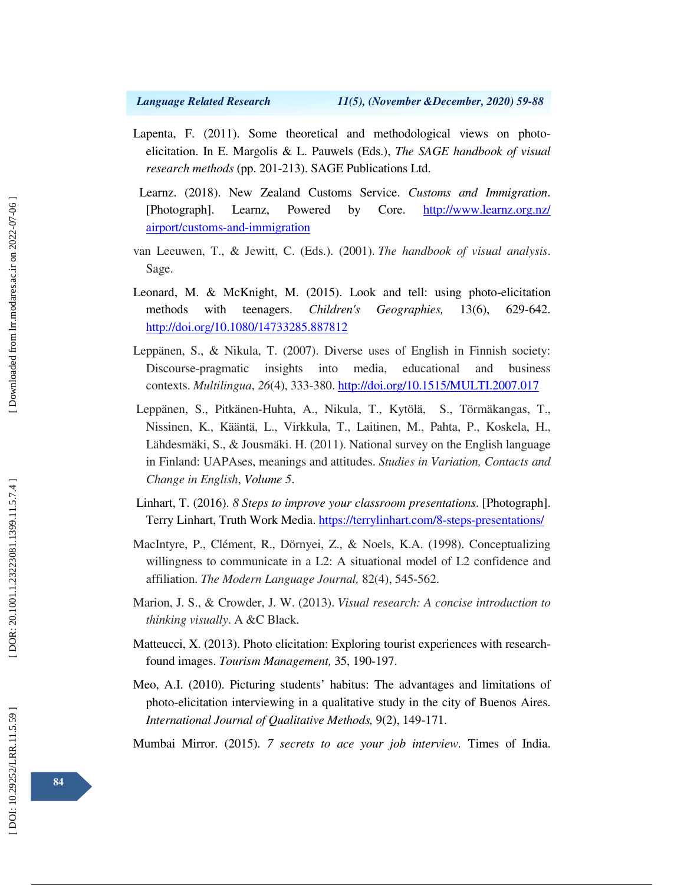- Lapenta, F. (2011). Some theoretical and methodological views on photoelicitation. In E. Margolis & L. Pauwels (Eds.), *The SAGE handbook of visual research methods* (pp. 201-213). SAGE Publications Ltd.
- Learnz. (2018). New Zealand Customs Service. *Customs and Immigration*. [Photograph]. Learnz, Powered by Core. http://www.learnz.org.nz/ airport/customs-and-immigration
- van Leeuwen, T., & Jewitt, C. (Eds.). (2001). *The handbook of visual analysis*. Sage.
- Leonard, M. & McKnight, M. (2015). Look and tell: using photo-elicitation methods with teenagers. *Children's Geographies,* 13(6), 629-642. http://doi.org/10.1080/14733285.887812
- Leppänen, S., & Nikula, T. (2007). Diverse uses of English in Finnish society: Discourse-pragmatic insights into media, educational and business contexts. *Multilingua*, *26*(4), 333-380. http://doi.org/10.1515/MULTI.2007.017
- Leppänen, S., Pitkänen-Huhta, A., Nikula, T., Kytölä, S., Törmäkangas, T., Nissinen, K., Kääntä, L., Virkkula, T., Laitinen, M., Pahta, P., Koskela, H., Lähdesmäki, S., & Jousmäki. H. (2011). National survey on the English language in Finland: UAPAses, meanings and attitudes. *Studies in Variation, Contacts and Change in English*, *Volume 5* .
- Linhart, T. (2016). *8 Steps to improve your classroom presentations*. [Photograph]. Terry Linhart, Truth Work Media. https://terrylinhart.com/8-steps-presentations/
- MacIntyre, P., Clément, R., Dörnyei, Z., & Noels, K.A. (1998). Conceptualizing willingness to communicate in a L2: A situational model of L2 confidence and affiliation. *The Modern Language Journal,* 82(4), 545-562.
- Marion, J. S., & Crowder, J. W. (2013). *Visual research: A concise introduction to thinking visually*. A &C Black.
- Matteucci, X. (2013). Photo elicitation: Exploring tourist experiences with researchfound images. *Tourism Management,* 35, 190-197.
- Meo, A.I. (2010). Picturing students' habitus: The advantages and limitations of photo-elicitation interviewing in a qualitative study in the city of Buenos Aires. *International Journal of Qualitative Methods,* 9(2), 149-171.

Mumbai Mirror. (2015). *7 secrets to ace your job interview.* Times of India.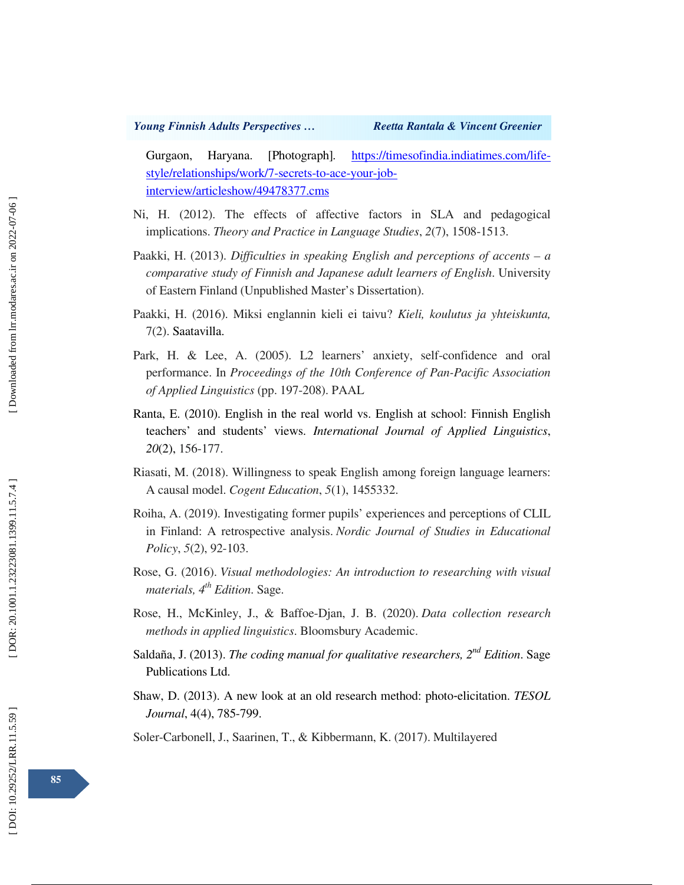Gurgaon, Haryana. [Photograph]*.* https://timesofindia.indiatimes.com/lifestyle/relationships/work/7-secrets-to-ace-your-jobinterview/articleshow/49478377.cms

- Ni, H. (2012). The effects of affective factors in SLA and pedagogical implications. *Theory and Practice in Language Studies*, *2*(7), 1508-1513.
- Paakki, H. (2013). *Difficulties in speaking English and perceptions of accents a comparative study of Finnish and Japanese adult learners of English*. University of Eastern Finland (Unpublished Master's Dissertation).
- Paakki, H. (2016). Miksi englannin kieli ei taivu? *Kieli, koulutus ja yhteiskunta,* 7(2). Saatavilla.
- Park, H. & Lee, A. (2005). L2 learners' anxiety, self-confidence and oral performance. In *Proceedings of the 10th Conference of Pan-Pacific Association of Applied Linguistics* (pp. 197-208). PAAL
- Ranta, E. (2010). English in the real world vs. English at school: Finnish English teachers' and students' views. *International Journal of Applied Linguistics*, *20*(2), 156-177.
- Riasati, M. (2018). Willingness to speak English among foreign language learners: A causal model. *Cogent Education*, *5*(1), 1455332.
- Roiha, A. (2019). Investigating former pupils' experiences and perceptions of CLIL in Finland: A retrospective analysis. *Nordic Journal of Studies in Educational Policy*, *5*(2), 92-103.
- Rose, G. (2016). *Visual methodologies: An introduction to researching with visual materials, 4th Edition*. Sage.
- Rose, H., McKinley, J., & Baffoe-Djan, J. B. (2020). *Data collection research methods in applied linguistics*. Bloomsbury Academic.
- Saldaña, J. (2013). *The coding manual for qualitative researchers, 2nd Edition*. Sage Publications Ltd.
- Shaw, D. (2013). A new look at an old research method: photo ‐elicitation. *TESOL Journal*, 4(4), 785-799.

Soler-Carbonell, J., Saarinen, T., & Kibbermann, K. (2017). Multilayered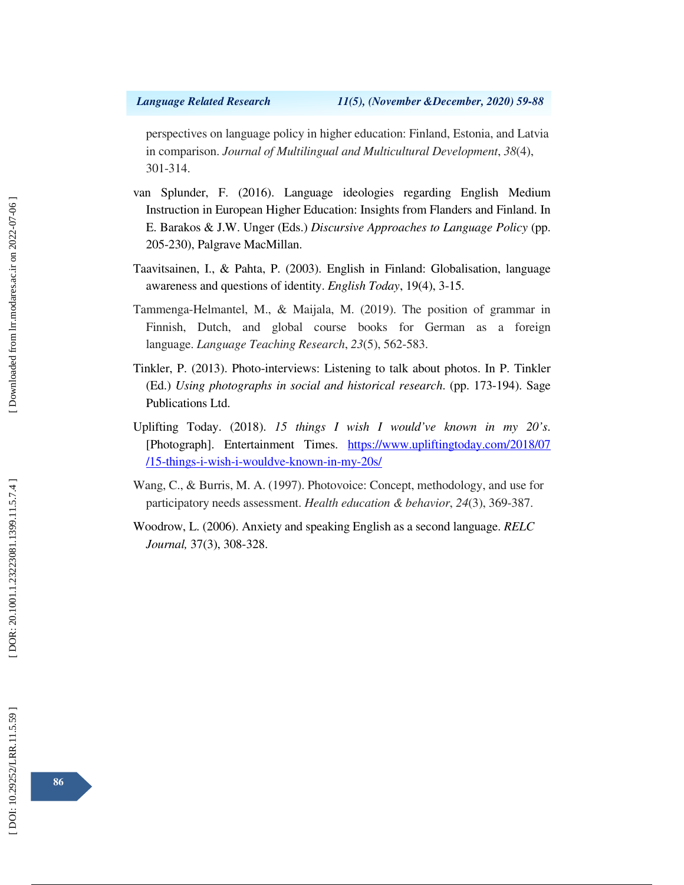perspectives on language policy in higher education: Finland, Estonia, and Latvia in comparison. *Journal of Multilingual and Multicultural Development*, *38*(4), 301-314.

- van Splunder, F. (2016). Language ideologies regarding English Medium Instruction in European Higher Education: Insights from Flanders and Finland. In E. Barakos & J.W. Unger (Eds.) *Discursive Approaches to Language Policy* (pp. 205-230), Palgrave MacMillan.
- Taavitsainen, I., & Pahta, P. (2003). English in Finland: Globalisation, language awareness and questions of identity. *English Today*, 19(4), 3-15.
- Tammenga-Helmantel, M., & Maijala, M. (2019). The position of grammar in Finnish, Dutch, and global course books for German as a foreign language. *Language Teaching Research*, *23*(5), 562-583.
- Tinkler, P. (2013). Photo-interviews: Listening to talk about photos. In P. Tinkler (Ed.) *Using photographs in social and historical research*. (pp. 173-194). Sage Publications Ltd.
- Uplifting Today. (2018). *15 things I wish I would've known in my 20's*. [Photograph]. Entertainment Times. https://www.upliftingtoday.com/2018/07 /15-things-i-wish-i-wouldve-known-in-my-20s/
- Wang, C., & Burris, M. A. (1997). Photovoice: Concept, methodology, and use for participatory needs assessment. *Health education & behavior*, *24*(3), 369-387.
- Woodrow, L. (2006). Anxiety and speaking English as a second language. *RELC Journal,* 37(3), 308-328.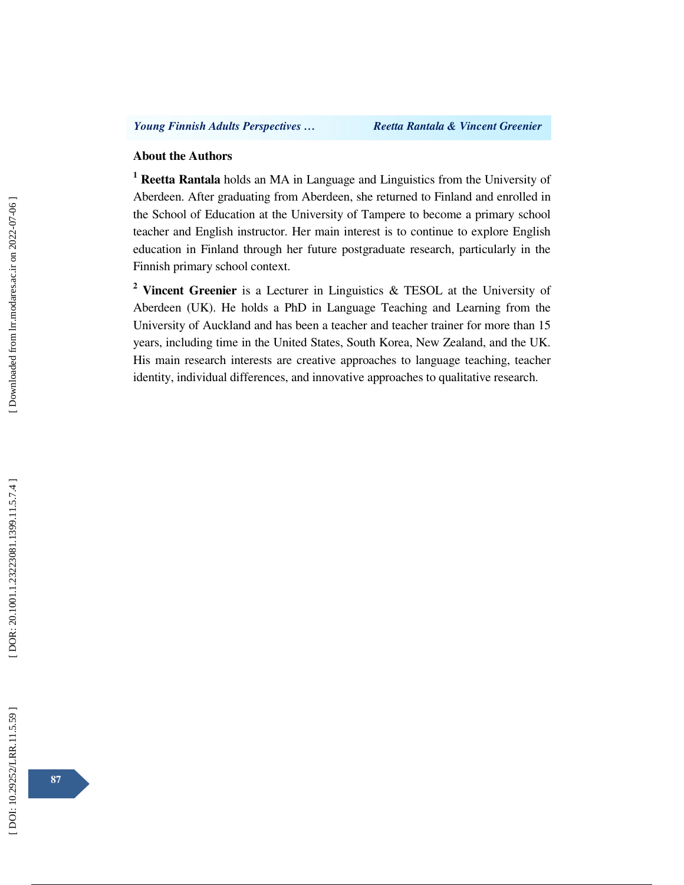## **About the Authors**

<sup>1</sup> Reetta Rantala holds an MA in Language and Linguistics from the University of Aberdeen. After graduating from Aberdeen, she returned to Finland and enrolled in the School of Education at the University of Tampere to become a primary school teacher and English instructor. Her main interest is to continue to explore English education in Finland through her future postgraduate research, particularly in the Finnish primary school context.

**2 Vincent Greenier** is a Lecturer in Linguistics & TESOL at the University of Aberdeen (UK). He holds a PhD in Language Teaching and Learning from the University of Auckland and has been a teacher and teacher trainer for more than 15 years, including time in the United States, South Korea, New Zealand, and the UK. His main research interests are creative approaches to language teaching, teacher identity, individual differences, and innovative approaches to qualitative research.